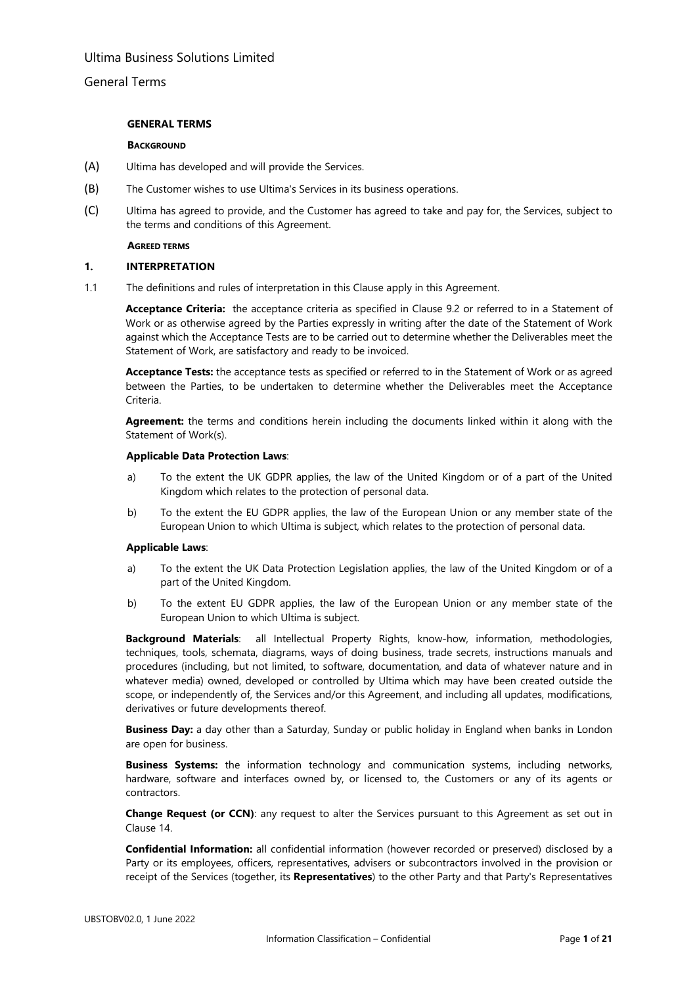## General Terms

### **GENERAL TERMS**

#### **BACKGROUND**

- (A) Ultima has developed and will provide the Services.
- (B) The Customer wishes to use Ultima's Services in its business operations.
- (C) Ultima has agreed to provide, and the Customer has agreed to take and pay for, the Services, subject to the terms and conditions of this Agreement.

#### **AGREED TERMS**

### **1. INTERPRETATION**

1.1 The definitions and rules of interpretation in this Clause apply in this Agreement.

**Acceptance Criteria:** the acceptance criteria as specified in Clause 9.2 or referred to in a Statement of Work or as otherwise agreed by the Parties expressly in writing after the date of the Statement of Work against which the Acceptance Tests are to be carried out to determine whether the Deliverables meet the Statement of Work, are satisfactory and ready to be invoiced.

**Acceptance Tests:** the acceptance tests as specified or referred to in the Statement of Work or as agreed between the Parties, to be undertaken to determine whether the Deliverables meet the Acceptance Criteria.

**Agreement:** the terms and conditions herein including the documents linked within it along with the Statement of Work(s).

#### **Applicable Data Protection Laws**:

- a) To the extent the UK GDPR applies, the law of the United Kingdom or of a part of the United Kingdom which relates to the protection of personal data.
- b) To the extent the EU GDPR applies, the law of the European Union or any member state of the European Union to which Ultima is subject, which relates to the protection of personal data.

### **Applicable Laws**:

- a) To the extent the UK Data Protection Legislation applies, the law of the United Kingdom or of a part of the United Kingdom.
- b) To the extent EU GDPR applies, the law of the European Union or any member state of the European Union to which Ultima is subject.

**Background Materials**: all Intellectual Property Rights, know-how, information, methodologies, techniques, tools, schemata, diagrams, ways of doing business, trade secrets, instructions manuals and procedures (including, but not limited, to software, documentation, and data of whatever nature and in whatever media) owned, developed or controlled by Ultima which may have been created outside the scope, or independently of, the Services and/or this Agreement, and including all updates, modifications, derivatives or future developments thereof.

**Business Day:** a day other than a Saturday, Sunday or public holiday in England when banks in London are open for business.

**Business Systems:** the information technology and communication systems, including networks, hardware, software and interfaces owned by, or licensed to, the Customers or any of its agents or contractors.

**Change Request (or CCN)**: any request to alter the Services pursuant to this Agreement as set out in Clause [14.](#page-15-0)

**Confidential Information:** all confidential information (however recorded or preserved) disclosed by a Party or its employees, officers, representatives, advisers or subcontractors involved in the provision or receipt of the Services (together, its **Representatives**) to the other Party and that Party's Representatives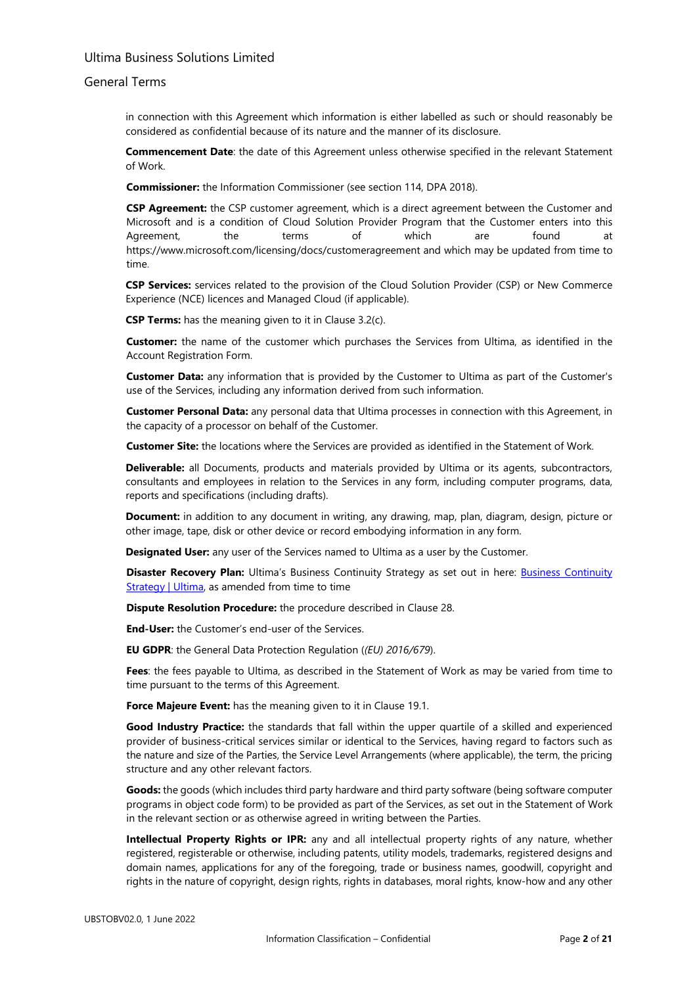### General Terms

in connection with this Agreement which information is either labelled as such or should reasonably be considered as confidential because of its nature and the manner of its disclosure.

**Commencement Date**: the date of this Agreement unless otherwise specified in the relevant Statement of Work.

**Commissioner:** the Information Commissioner (see section 114, DPA 2018).

**CSP Agreement:** the CSP customer agreement, which is a direct agreement between the Customer and Microsoft and is a condition of Cloud Solution Provider Program that the Customer enters into this Agreement, the terms of which are found at <https://www.microsoft.com/licensing/docs/customeragreement> and which may be updated from time to time.

**CSP Services:** services related to the provision of the Cloud Solution Provider (CSP) or New Commerce Experience (NCE) licences and Managed Cloud (if applicable).

**CSP Terms:** has the meaning given to it in Clause [3.2\(c\).](#page-5-0) 

**Customer:** the name of the customer which purchases the Services from Ultima, as identified in the Account Registration Form.

**Customer Data:** any information that is provided by the Customer to Ultima as part of the Customer's use of the Services, including any information derived from such information.

**Customer Personal Data:** any personal data that Ultima processes in connection with this Agreement, in the capacity of a processor on behalf of the Customer.

**Customer Site:** the locations where the Services are provided as identified in the Statement of Work.

**Deliverable:** all Documents, products and materials provided by Ultima or its agents, subcontractors, consultants and employees in relation to the Services in any form, including computer programs, data, reports and specifications (including drafts).

**Document:** in addition to any document in writing, any drawing, map, plan, diagram, design, picture or other image, tape, disk or other device or record embodying information in any form.

**Designated User:** any user of the Services named to Ultima as a user by the Customer.

**Disaster Recovery Plan:** Ultima's [Business Continuity](https://www.ultima.com/business-continuity-strategy#:%7E:text=%20The%20following%20principles%20support%20the%20delivery%20of,assessed%20and%20either%20accepted%20or%20action...%20More%20) Strategy as set out in here: **Business Continuity** [Strategy | Ultima,](https://www.ultima.com/business-continuity-strategy#:%7E:text=%20The%20following%20principles%20support%20the%20delivery%20of,assessed%20and%20either%20accepted%20or%20action...%20More%20) as amended from time to time

**Dispute Resolution Procedure:** the procedure described in Clause 28.

**End-User:** the Customer's end-user of the Services.

**EU GDPR**: the General Data Protection Regulation (*(EU) 2016/679*).

**Fees**: the fees payable to Ultima, as described in the Statement of Work as may be varied from time to time pursuant to the terms of this Agreement.

**Force Majeure Event:** has the meaning given to it in Clause [19.1.](#page-18-0) 

**Good Industry Practice:** the standards that fall within the upper quartile of a skilled and experienced provider of business-critical services similar or identical to the Services, having regard to factors such as the nature and size of the Parties, the Service Level Arrangements (where applicable), the term, the pricing structure and any other relevant factors.

**Goods:** the goods (which includes third party hardware and third party software (being software computer programs in object code form) to be provided as part of the Services, as set out in the Statement of Work in the relevant section or as otherwise agreed in writing between the Parties.

**Intellectual Property Rights or IPR:** any and all intellectual property rights of any nature, whether registered, registerable or otherwise, including patents, utility models, trademarks, registered designs and domain names, applications for any of the foregoing, trade or business names, goodwill, copyright and rights in the nature of copyright, design rights, rights in databases, moral rights, know-how and any other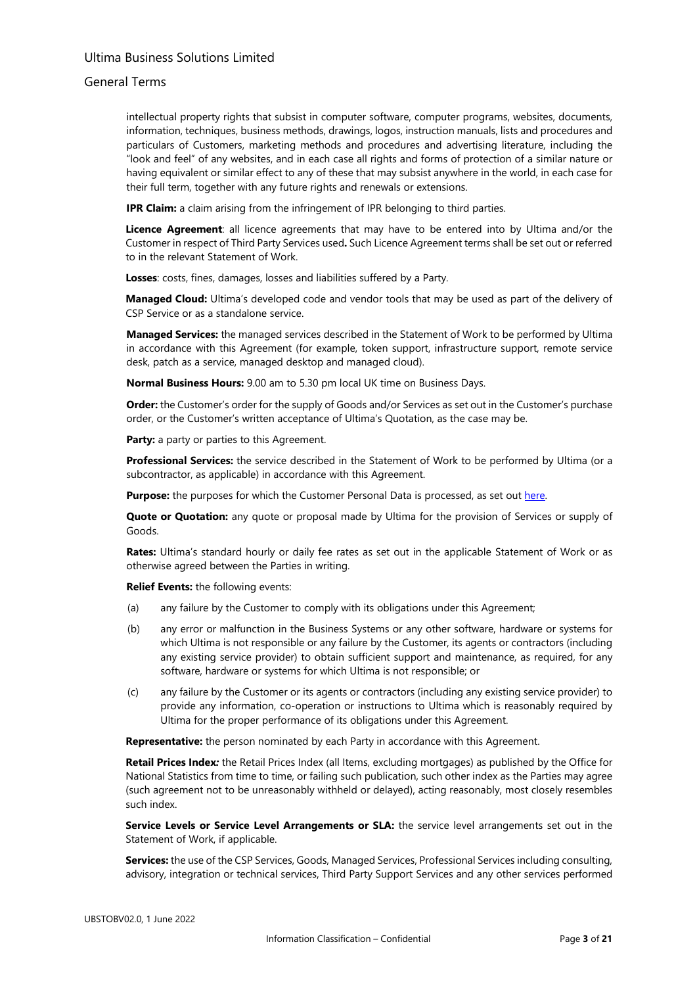## General Terms

intellectual property rights that subsist in computer software, computer programs, websites, documents, information, techniques, business methods, drawings, logos, instruction manuals, lists and procedures and particulars of Customers, marketing methods and procedures and advertising literature, including the "look and feel" of any websites, and in each case all rights and forms of protection of a similar nature or having equivalent or similar effect to any of these that may subsist anywhere in the world, in each case for their full term, together with any future rights and renewals or extensions.

**IPR Claim:** a claim arising from the infringement of IPR belonging to third parties.

**Licence Agreement**: all licence agreements that may have to be entered into by Ultima and/or the Customer in respect of Third Party Services used**.** Such Licence Agreement terms shall be set out or referred to in the relevant Statement of Work.

**Losses**: costs, fines, damages, losses and liabilities suffered by a Party.

**Managed Cloud:** Ultima's developed code and vendor tools that may be used as part of the delivery of CSP Service or as a standalone service.

**Managed Services:** the managed services described in the Statement of Work to be performed by Ultima in accordance with this Agreement (for example, token support, infrastructure support, remote service desk, patch as a service, managed desktop and managed cloud).

 **Normal Business Hours:** 9.00 am to 5.30 pm local UK time on Business Days.

**Order:** the Customer's order for the supply of Goods and/or Services as set out in the Customer's purchase order, or the Customer's written acceptance of Ultima's Quotation, as the case may be.

**Party:** a party or parties to this Agreement.

**Professional Services:** the service described in the Statement of Work to be performed by Ultima (or a subcontractor, as applicable) in accordance with this Agreement.

**Purpose:** the purposes for which the Customer Personal Data is processed, as set out [here.](https://www.ultima.com/sites/default/files/uploads/2022-05/ultima_dp_link_v1.3.pdf) 

**Quote or Quotation:** any quote or proposal made by Ultima for the provision of Services or supply of Goods.

**Rates:** Ultima's standard hourly or daily fee rates as set out in the applicable Statement of Work or as otherwise agreed between the Parties in writing.

**Relief Events:** the following events:

- (a) any failure by the Customer to comply with its obligations under this Agreement;
- (b) any error or malfunction in the Business Systems or any other software, hardware or systems for which Ultima is not responsible or any failure by the Customer, its agents or contractors (including any existing service provider) to obtain sufficient support and maintenance, as required, for any software, hardware or systems for which Ultima is not responsible; or
- (c) any failure by the Customer or its agents or contractors (including any existing service provider) to provide any information, co-operation or instructions to Ultima which is reasonably required by Ultima for the proper performance of its obligations under this Agreement.

**Representative:** the person nominated by each Party in accordance with this Agreement.

**Retail Prices Index***:* the Retail Prices Index (all Items, excluding mortgages) as published by the Office for National Statistics from time to time, or failing such publication, such other index as the Parties may agree (such agreement not to be unreasonably withheld or delayed), acting reasonably, most closely resembles such index.

**Service Levels or Service Level Arrangements or SLA:** the service level arrangements set out in the Statement of Work, if applicable.

**Services:** the use of the CSP Services, Goods, Managed Services, Professional Services including consulting, advisory, integration or technical services, Third Party Support Services and any other services performed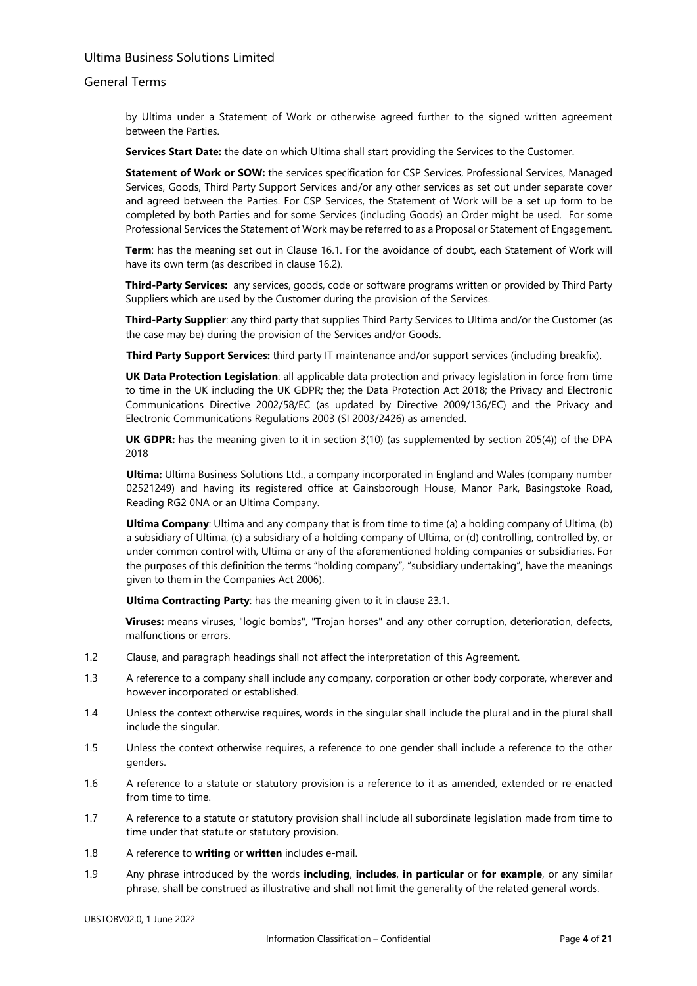### General Terms

by Ultima under a Statement of Work or otherwise agreed further to the signed written agreement between the Parties.

**Services Start Date:** the date on which Ultima shall start providing the Services to the Customer.

**Statement of Work or SOW:** the services specification for CSP Services, Professional Services, Managed Services, Goods, Third Party Support Services and/or any other services as set out under separate cover and agreed between the Parties. For CSP Services, the Statement of Work will be a set up form to be completed by both Parties and for some Services (including Goods) an Order might be used. For some Professional Services the Statement of Work may be referred to as a Proposal or Statement of Engagement.

**Term**: has the meaning set out in Clause [16.1.](#page-16-0) For the avoidance of doubt, each Statement of Work will have its own term (as described in clause [16.2\).](#page-16-1)

**Third-Party Services:** any services, goods, code or software programs written or provided by Third Party Suppliers which are used by the Customer during the provision of the Services.

**Third-Party Supplier**: any third party that supplies Third Party Services to Ultima and/or the Customer (as the case may be) during the provision of the Services and/or Goods.

**Third Party Support Services:** third party IT maintenance and/or support services (including breakfix).

**UK Data Protection Legislation**: all applicable data protection and privacy legislation in force from time to time in the UK including the UK GDPR; the; the Data Protection Act 2018; the Privacy and Electronic Communications Directive 2002/58/EC (as updated by Directive 2009/136/EC) and the Privacy and Electronic Communications Regulations 2003 (SI 2003/2426) as amended.

**UK GDPR:** has the meaning given to it in section 3(10) (as supplemented by section 205(4)) of the DPA 2018

**Ultima:** Ultima Business Solutions Ltd., a company incorporated in England and Wales (company number 02521249) and having its registered office at Gainsborough House, Manor Park, Basingstoke Road, Reading RG2 0NA or an Ultima Company.

**Ultima Company**: Ultima and any company that is from time to time (a) a holding company of Ultima, (b) a subsidiary of Ultima, (c) a subsidiary of a holding company of Ultima, or (d) controlling, controlled by, or under common control with, Ultima or any of the aforementioned holding companies or subsidiaries. For the purposes of this definition the terms "holding company", "subsidiary undertaking", have the meanings given to them in the Companies Act 2006).

**Ultima Contracting Party**: has the meaning given to it in claus[e 23.1.](#page-19-0) 

**Viruses:** means viruses, "logic bombs", "Trojan horses" and any other corruption, deterioration, defects, malfunctions or errors.

- 1.2 Clause, and paragraph headings shall not affect the interpretation of this Agreement.
- 1.3 A reference to a company shall include any company, corporation or other body corporate, wherever and however incorporated or established.
- 1.4 Unless the context otherwise requires, words in the singular shall include the plural and in the plural shall include the singular.
- 1.5 Unless the context otherwise requires, a reference to one gender shall include a reference to the other genders.
- 1.6 A reference to a statute or statutory provision is a reference to it as amended, extended or re-enacted from time to time.
- 1.7 A reference to a statute or statutory provision shall include all subordinate legislation made from time to time under that statute or statutory provision.
- 1.8 A reference to **writing** or **written** includes e-mail.
- 1.9 Any phrase introduced by the words **including**, **includes**, **in particular** or **for example**, or any similar phrase, shall be construed as illustrative and shall not limit the generality of the related general words.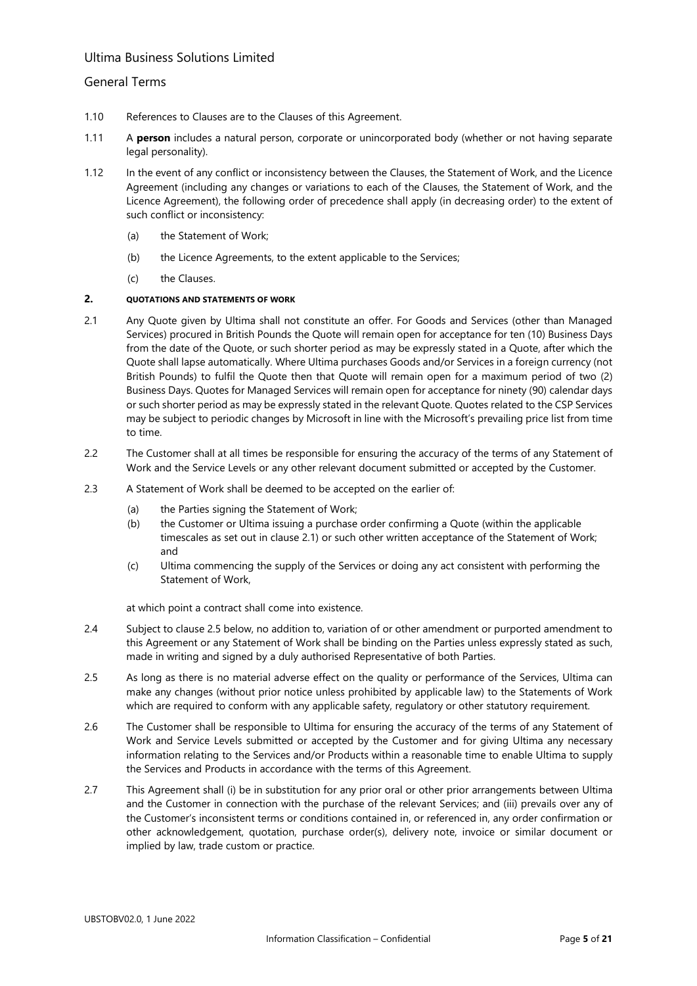## General Terms

- 1.10 References to Clauses are to the Clauses of this Agreement.
- 1.11 A **person** includes a natural person, corporate or unincorporated body (whether or not having separate legal personality).
- 1.12 In the event of any conflict or inconsistency between the Clauses, the Statement of Work, and the Licence Agreement (including any changes or variations to each of the Clauses, the Statement of Work, and the Licence Agreement), the following order of precedence shall apply (in decreasing order) to the extent of such conflict or inconsistency:
	- (a) the Statement of Work;
	- (b) the Licence Agreements, to the extent applicable to the Services;
	- (c) the Clauses.

### **2. QUOTATIONS AND STATEMENTS OF WORK**

- 2.1 Any Quote given by Ultima shall not constitute an offer. For Goods and Services (other than Managed Services) procured in British Pounds the Quote will remain open for acceptance for ten (10) Business Days from the date of the Quote, or such shorter period as may be expressly stated in a Quote, after which the Quote shall lapse automatically. Where Ultima purchases Goods and/or Services in a foreign currency (not British Pounds) to fulfil the Quote then that Quote will remain open for a maximum period of two (2) Business Days. Quotes for Managed Services will remain open for acceptance for ninety (90) calendar days or such shorter period as may be expressly stated in the relevant Quote. Quotes related to the CSP Services may be subject to periodic changes by Microsoft in line with the Microsoft's prevailing price list from time to time.
- 2.2 The Customer shall at all times be responsible for ensuring the accuracy of the terms of any Statement of Work and the Service Levels or any other relevant document submitted or accepted by the Customer.
- 2.3 A Statement of Work shall be deemed to be accepted on the earlier of:
	- (a) the Parties signing the Statement of Work;
	- (b) the Customer or Ultima issuing a purchase order confirming a Quote (within the applicable timescales as set out in clause 2.1) or such other written acceptance of the Statement of Work; and
	- (c) Ultima commencing the supply of the Services or doing any act consistent with performing the Statement of Work,

at which point a contract shall come into existence.

- 2.4 Subject to clause [2.5](#page-4-0) below, no addition to, variation of or other amendment or purported amendment to this Agreement or any Statement of Work shall be binding on the Parties unless expressly stated as such, made in writing and signed by a duly authorised Representative of both Parties.
- <span id="page-4-0"></span>2.5 As long as there is no material adverse effect on the quality or performance of the Services, Ultima can make any changes (without prior notice unless prohibited by applicable law) to the Statements of Work which are required to conform with any applicable safety, regulatory or other statutory requirement.
- 2.6 The Customer shall be responsible to Ultima for ensuring the accuracy of the terms of any Statement of Work and Service Levels submitted or accepted by the Customer and for giving Ultima any necessary information relating to the Services and/or Products within a reasonable time to enable Ultima to supply the Services and Products in accordance with the terms of this Agreement.
- 2.7 This Agreement shall (i) be in substitution for any prior oral or other prior arrangements between Ultima and the Customer in connection with the purchase of the relevant Services; and (iii) prevails over any of the Customer's inconsistent terms or conditions contained in, or referenced in, any order confirmation or other acknowledgement, quotation, purchase order(s), delivery note, invoice or similar document or implied by law, trade custom or practice.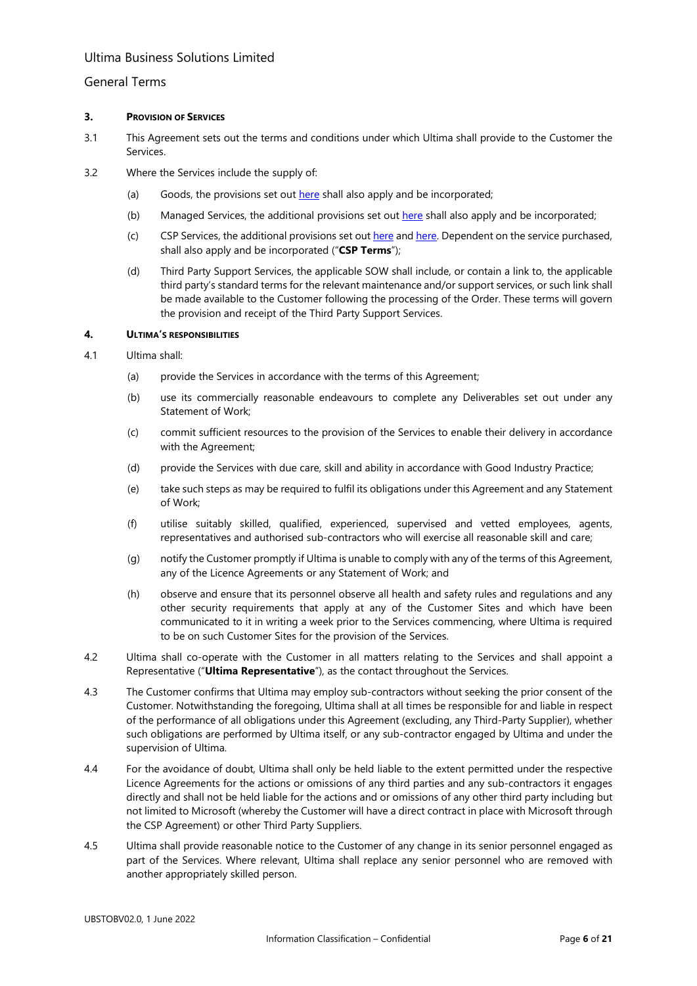### General Terms

#### **3. PROVISION OF SERVICES**

- 3.1 This Agreement sets out the terms and conditions under which Ultima shall provide to the Customer the Services.
- <span id="page-5-0"></span>3.2 Where the Services include the supply of:
	- (a) Goods, the provisions set out [here](https://www.ultima.com/sites/default/files/uploads/2022-05/ultima_goods_terms_link_v1.0.pdf) shall also apply and be incorporated;
	- (b) Managed Services, the additional provisions set out [here](https://www.ultima.com/sites/default/files/uploads/2022-05/ultima_managed_services_terms_link_v1.0.pdf) shall also apply and be incorporated;
	- (c) CSP Services, the additional provisions set out [here](https://www.ultima.com/sites/default/files/uploads/2022-06/ultima_csp_terms_link_essentials_only.pdf) and [here.](https://www.ultima.com/sites/default/files/uploads/2022-06/ultima_csp_terms_link_essentials_and_mgd_cloud.pdf) Dependent on the service purchased, shall also apply and be incorporated ("**CSP Terms**");
	- (d) Third Party Support Services, the applicable SOW shall include, or contain a link to, the applicable third party's standard terms for the relevant maintenance and/or support services, or such link shall be made available to the Customer following the processing of the Order. These terms will govern the provision and receipt of the Third Party Support Services.

#### **4. ULTIMA'S RESPONSIBILITIES**

- 4.1 Ultima shall:
	- (a) provide the Services in accordance with the terms of this Agreement;
	- (b) use its commercially reasonable endeavours to complete any Deliverables set out under any Statement of Work;
	- (c) commit sufficient resources to the provision of the Services to enable their delivery in accordance with the Agreement;
	- (d) provide the Services with due care, skill and ability in accordance with Good Industry Practice;
	- (e) take such steps as may be required to fulfil its obligations under this Agreement and any Statement of Work;
	- (f) utilise suitably skilled, qualified, experienced, supervised and vetted employees, agents, representatives and authorised sub-contractors who will exercise all reasonable skill and care;
	- (g) notify the Customer promptly if Ultima is unable to comply with any of the terms of this Agreement, any of the Licence Agreements or any Statement of Work; and
	- (h) observe and ensure that its personnel observe all health and safety rules and regulations and any other security requirements that apply at any of the Customer Sites and which have been communicated to it in writing a week prior to the Services commencing, where Ultima is required to be on such Customer Sites for the provision of the Services.
- <span id="page-5-1"></span>4.2 Ultima shall co-operate with the Customer in all matters relating to the Services and shall appoint a Representative ("**Ultima Representative**"), as the contact throughout the Services.
- 4.3 The Customer confirms that Ultima may employ sub-contractors without seeking the prior consent of the Customer. Notwithstanding the foregoing, Ultima shall at all times be responsible for and liable in respect of the performance of all obligations under this Agreement (excluding, any Third-Party Supplier), whether such obligations are performed by Ultima itself, or any sub-contractor engaged by Ultima and under the supervision of Ultima.
- 4.4 For the avoidance of doubt, Ultima shall only be held liable to the extent permitted under the respective Licence Agreements for the actions or omissions of any third parties and any sub-contractors it engages directly and shall not be held liable for the actions and or omissions of any other third party including but not limited to Microsoft (whereby the Customer will have a direct contract in place with Microsoft through the CSP Agreement) or other Third Party Suppliers.
- 4.5 Ultima shall provide reasonable notice to the Customer of any change in its senior personnel engaged as part of the Services. Where relevant, Ultima shall replace any senior personnel who are removed with another appropriately skilled person.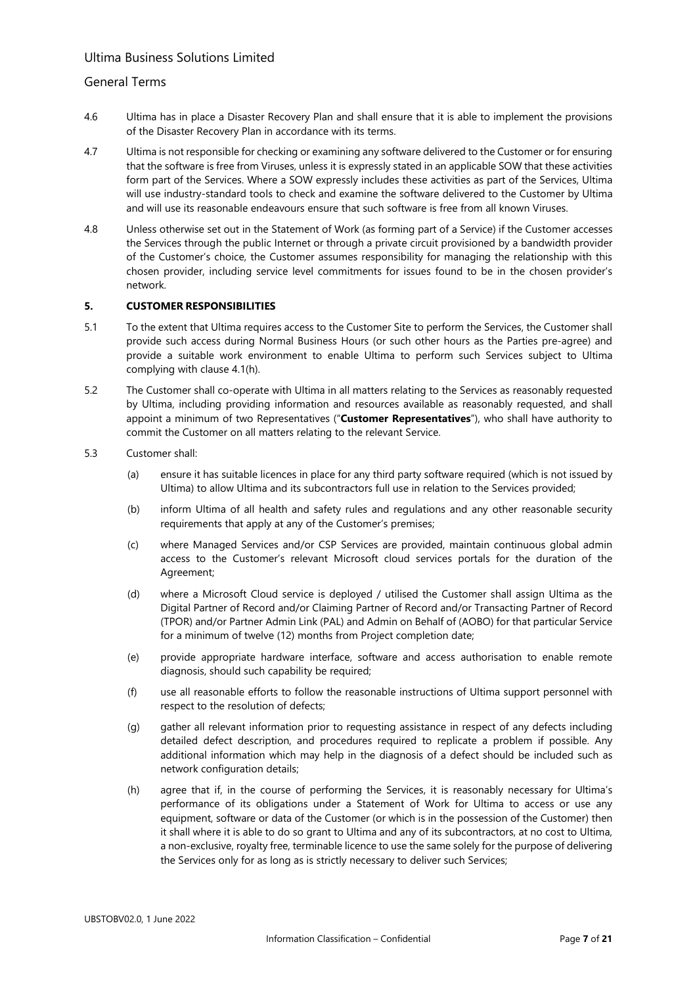## General Terms

- 4.6 Ultima has in place a Disaster Recovery Plan and shall ensure that it is able to implement the provisions of the Disaster Recovery Plan in accordance with its terms.
- 4.7 Ultima is not responsible for checking or examining any software delivered to the Customer or for ensuring that the software is free from Viruses, unless it is expressly stated in an applicable SOW that these activities form part of the Services. Where a SOW expressly includes these activities as part of the Services, Ultima will use industry-standard tools to check and examine the software delivered to the Customer by Ultima and will use its reasonable endeavours ensure that such software is free from all known Viruses.
- 4.8 Unless otherwise set out in the Statement of Work (as forming part of a Service) if the Customer accesses the Services through the public Internet or through a private circuit provisioned by a bandwidth provider of the Customer's choice, the Customer assumes responsibility for managing the relationship with this chosen provider, including service level commitments for issues found to be in the chosen provider's network.

### **5. CUSTOMER RESPONSIBILITIES**

- 5.1 To the extent that Ultima requires access to the Customer Site to perform the Services, the Customer shall provide such access during Normal Business Hours (or such other hours as the Parties pre-agree) and provide a suitable work environment to enable Ultima to perform such Services subject to Ultima complying with clause [4.1\(h\).](#page-5-1)
- 5.2 The Customer shall co-operate with Ultima in all matters relating to the Services as reasonably requested by Ultima, including providing information and resources available as reasonably requested, and shall appoint a minimum of two Representatives ("**Customer Representatives**"), who shall have authority to commit the Customer on all matters relating to the relevant Service.
- 5.3 Customer shall:
	- (a) ensure it has suitable licences in place for any third party software required (which is not issued by Ultima) to allow Ultima and its subcontractors full use in relation to the Services provided;
	- (b) inform Ultima of all health and safety rules and regulations and any other reasonable security requirements that apply at any of the Customer's premises;
	- (c) where Managed Services and/or CSP Services are provided, maintain continuous global admin access to the Customer's relevant Microsoft cloud services portals for the duration of the Agreement;
	- (d) where a Microsoft Cloud service is deployed / utilised the Customer shall assign Ultima as the Digital Partner of Record and/or Claiming Partner of Record and/or Transacting Partner of Record (TPOR) and/or Partner Admin Link (PAL) and Admin on Behalf of (AOBO) for that particular Service for a minimum of twelve (12) months from Project completion date;
	- (e) provide appropriate hardware interface, software and access authorisation to enable remote diagnosis, should such capability be required;
	- (f) use all reasonable efforts to follow the reasonable instructions of Ultima support personnel with respect to the resolution of defects;
	- (g) gather all relevant information prior to requesting assistance in respect of any defects including detailed defect description, and procedures required to replicate a problem if possible. Any additional information which may help in the diagnosis of a defect should be included such as network configuration details;
	- (h) agree that if, in the course of performing the Services, it is reasonably necessary for Ultima's performance of its obligations under a Statement of Work for Ultima to access or use any equipment, software or data of the Customer (or which is in the possession of the Customer) then it shall where it is able to do so grant to Ultima and any of its subcontractors, at no cost to Ultima, a non-exclusive, royalty free, terminable licence to use the same solely for the purpose of delivering the Services only for as long as is strictly necessary to deliver such Services;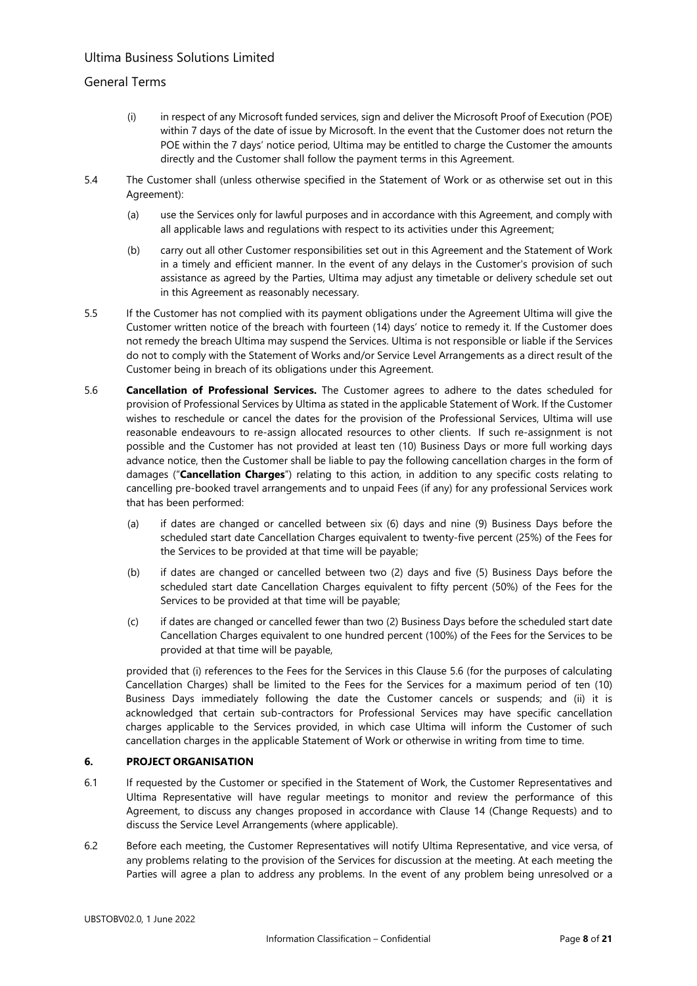## General Terms

- (i) in respect of any Microsoft funded services, sign and deliver the Microsoft Proof of Execution (POE) within 7 days of the date of issue by Microsoft. In the event that the Customer does not return the POE within the 7 days' notice period, Ultima may be entitled to charge the Customer the amounts directly and the Customer shall follow the payment terms in this Agreement.
- 5.4 The Customer shall (unless otherwise specified in the Statement of Work or as otherwise set out in this Agreement):
	- (a) use the Services only for lawful purposes and in accordance with this Agreement, and comply with all applicable laws and regulations with respect to its activities under this Agreement;
	- (b) carry out all other Customer responsibilities set out in this Agreement and the Statement of Work in a timely and efficient manner. In the event of any delays in the Customer's provision of such assistance as agreed by the Parties, Ultima may adjust any timetable or delivery schedule set out in this Agreement as reasonably necessary.
- 5.5 If the Customer has not complied with its payment obligations under the Agreement Ultima will give the Customer written notice of the breach with fourteen (14) days' notice to remedy it. If the Customer does not remedy the breach Ultima may suspend the Services. Ultima is not responsible or liable if the Services do not to comply with the Statement of Works and/or Service Level Arrangements as a direct result of the Customer being in breach of its obligations under this Agreement.
- <span id="page-7-0"></span>5.6 **Cancellation of Professional Services.** The Customer agrees to adhere to the dates scheduled for provision of Professional Services by Ultima as stated in the applicable Statement of Work. If the Customer wishes to reschedule or cancel the dates for the provision of the Professional Services, Ultima will use reasonable endeavours to re-assign allocated resources to other clients. If such re-assignment is not possible and the Customer has not provided at least ten (10) Business Days or more full working days advance notice, then the Customer shall be liable to pay the following cancellation charges in the form of damages ("**Cancellation Charges**") relating to this action, in addition to any specific costs relating to cancelling pre-booked travel arrangements and to unpaid Fees (if any) for any professional Services work that has been performed:
	- (a) if dates are changed or cancelled between six (6) days and nine (9) Business Days before the scheduled start date Cancellation Charges equivalent to twenty-five percent (25%) of the Fees for the Services to be provided at that time will be payable;
	- (b) if dates are changed or cancelled between two (2) days and five (5) Business Days before the scheduled start date Cancellation Charges equivalent to fifty percent (50%) of the Fees for the Services to be provided at that time will be payable;
	- (c) if dates are changed or cancelled fewer than two (2) Business Days before the scheduled start date Cancellation Charges equivalent to one hundred percent (100%) of the Fees for the Services to be provided at that time will be payable,

provided that (i) references to the Fees for the Services in this Clause [5.6](#page-7-0) (for the purposes of calculating Cancellation Charges) shall be limited to the Fees for the Services for a maximum period of ten (10) Business Days immediately following the date the Customer cancels or suspends; and (ii) it is acknowledged that certain sub-contractors for Professional Services may have specific cancellation charges applicable to the Services provided, in which case Ultima will inform the Customer of such cancellation charges in the applicable Statement of Work or otherwise in writing from time to time.

### **6. PROJECT ORGANISATION**

- 6.1 If requested by the Customer or specified in the Statement of Work, the Customer Representatives and Ultima Representative will have regular meetings to monitor and review the performance of this Agreement, to discuss any changes proposed in accordance with Clause [14](#page-15-0) (Change Requests) and to discuss the Service Level Arrangements (where applicable).
- 6.2 Before each meeting, the Customer Representatives will notify Ultima Representative, and vice versa, of any problems relating to the provision of the Services for discussion at the meeting. At each meeting the Parties will agree a plan to address any problems. In the event of any problem being unresolved or a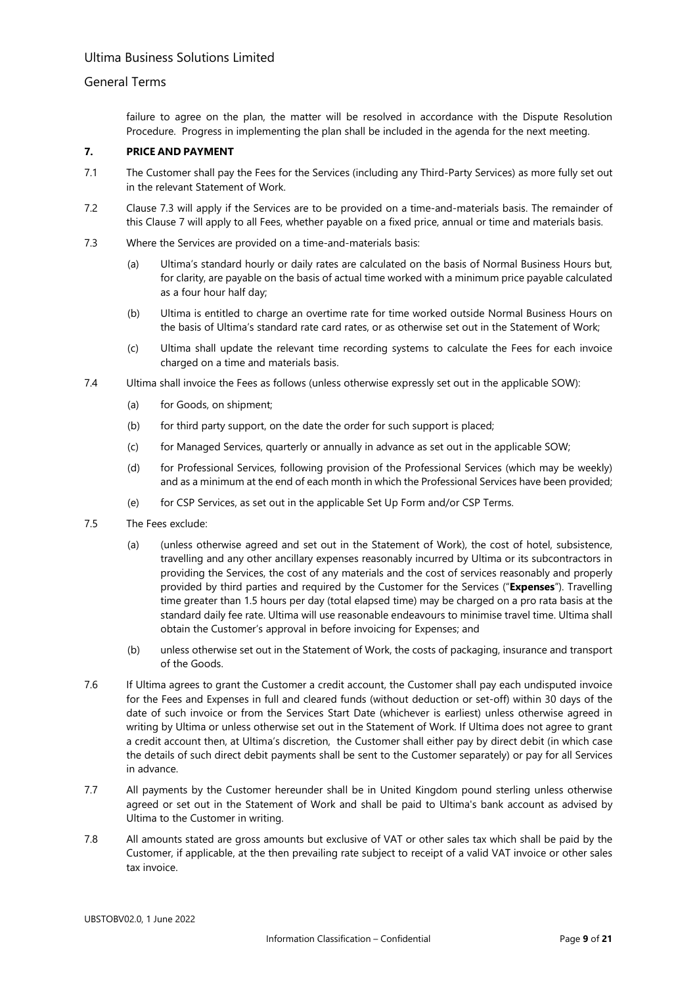## General Terms

failure to agree on the plan, the matter will be resolved in accordance with the Dispute Resolution Procedure. Progress in implementing the plan shall be included in the agenda for the next meeting.

## <span id="page-8-1"></span>**7. PRICE AND PAYMENT**

- 7.1 The Customer shall pay the Fees for the Services (including any Third-Party Services) as more fully set out in the relevant Statement of Work.
- 7.2 Clause [7.3](#page-8-0) will apply if the Services are to be provided on a time-and-materials basis. The remainder of this Clause [7](#page-8-1) will apply to all Fees, whether payable on a fixed price, annual or time and materials basis.
- <span id="page-8-0"></span>7.3 Where the Services are provided on a time-and-materials basis:
	- (a) Ultima's standard hourly or daily rates are calculated on the basis of Normal Business Hours but, for clarity, are payable on the basis of actual time worked with a minimum price payable calculated as a four hour half day;
	- (b) Ultima is entitled to charge an overtime rate for time worked outside Normal Business Hours on the basis of Ultima's standard rate card rates, or as otherwise set out in the Statement of Work;
	- (c) Ultima shall update the relevant time recording systems to calculate the Fees for each invoice charged on a time and materials basis.
- 7.4 Ultima shall invoice the Fees as follows (unless otherwise expressly set out in the applicable SOW):
	- (a) for Goods, on shipment;
	- (b) for third party support, on the date the order for such support is placed;
	- (c) for Managed Services, quarterly or annually in advance as set out in the applicable SOW;
	- (d) for Professional Services, following provision of the Professional Services (which may be weekly) and as a minimum at the end of each month in which the Professional Services have been provided;
	- (e) for CSP Services, as set out in the applicable Set Up Form and/or CSP Terms.
- 7.5 The Fees exclude:
	- (a) (unless otherwise agreed and set out in the Statement of Work), the cost of hotel, subsistence, travelling and any other ancillary expenses reasonably incurred by Ultima or its subcontractors in providing the Services, the cost of any materials and the cost of services reasonably and properly provided by third parties and required by the Customer for the Services ("**Expenses**"). Travelling time greater than 1.5 hours per day (total elapsed time) may be charged on a pro rata basis at the standard daily fee rate. Ultima will use reasonable endeavours to minimise travel time. Ultima shall obtain the Customer's approval in before invoicing for Expenses; and
	- (b) unless otherwise set out in the Statement of Work, the costs of packaging, insurance and transport of the Goods.
- 7.6 If Ultima agrees to grant the Customer a credit account, the Customer shall pay each undisputed invoice for the Fees and Expenses in full and cleared funds (without deduction or set-off) within 30 days of the date of such invoice or from the Services Start Date (whichever is earliest) unless otherwise agreed in writing by Ultima or unless otherwise set out in the Statement of Work. If Ultima does not agree to grant a credit account then, at Ultima's discretion, the Customer shall either pay by direct debit (in which case the details of such direct debit payments shall be sent to the Customer separately) or pay for all Services in advance.
- 7.7 All payments by the Customer hereunder shall be in United Kingdom pound sterling unless otherwise agreed or set out in the Statement of Work and shall be paid to Ultima's bank account as advised by Ultima to the Customer in writing.
- 7.8 All amounts stated are gross amounts but exclusive of VAT or other sales tax which shall be paid by the Customer, if applicable, at the then prevailing rate subject to receipt of a valid VAT invoice or other sales tax invoice.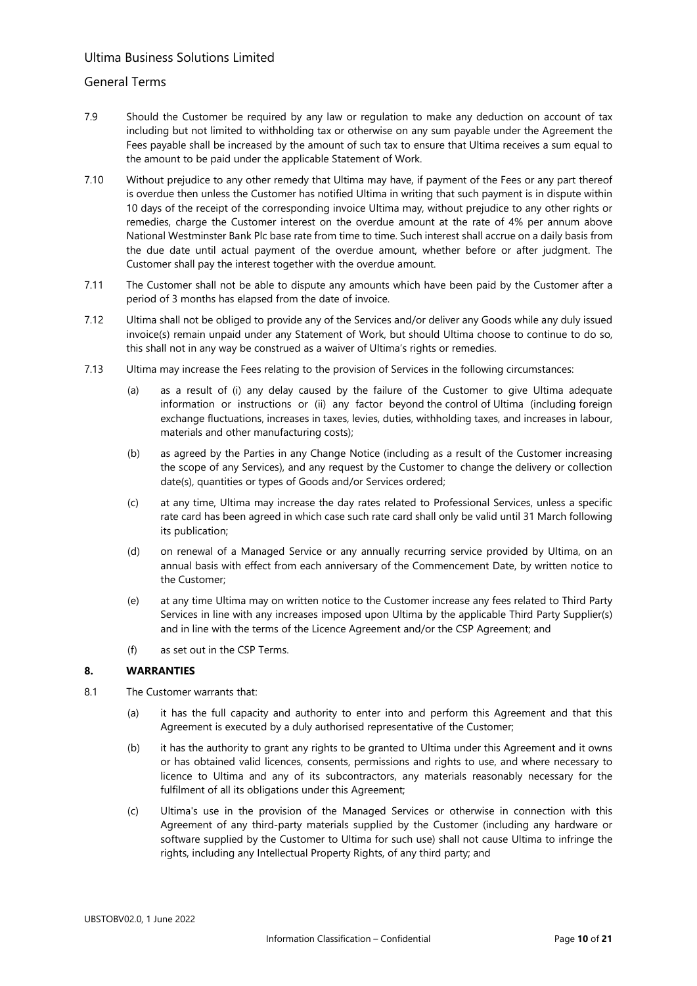## General Terms

- 7.9 Should the Customer be required by any law or regulation to make any deduction on account of tax including but not limited to withholding tax or otherwise on any sum payable under the Agreement the Fees payable shall be increased by the amount of such tax to ensure that Ultima receives a sum equal to the amount to be paid under the applicable Statement of Work.
- 7.10 Without prejudice to any other remedy that Ultima may have, if payment of the Fees or any part thereof is overdue then unless the Customer has notified Ultima in writing that such payment is in dispute within 10 days of the receipt of the corresponding invoice Ultima may, without prejudice to any other rights or remedies, charge the Customer interest on the overdue amount at the rate of 4% per annum above National Westminster Bank Plc base rate from time to time. Such interest shall accrue on a daily basis from the due date until actual payment of the overdue amount, whether before or after judgment. The Customer shall pay the interest together with the overdue amount.
- 7.11 The Customer shall not be able to dispute any amounts which have been paid by the Customer after a period of 3 months has elapsed from the date of invoice.
- 7.12 Ultima shall not be obliged to provide any of the Services and/or deliver any Goods while any duly issued invoice(s) remain unpaid under any Statement of Work, but should Ultima choose to continue to do so, this shall not in any way be construed as a waiver of Ultima's rights or remedies.
- 7.13 Ultima may increase the Fees relating to the provision of Services in the following circumstances:
	- (a) as a result of (i) any delay caused by the failure of the Customer to give Ultima adequate information or instructions or (ii) any factor beyond the control of Ultima (including foreign exchange fluctuations, increases in taxes, levies, duties, withholding taxes, and increases in labour, materials and other manufacturing costs);
	- (b) as agreed by the Parties in any Change Notice (including as a result of the Customer increasing the scope of any Services), and any request by the Customer to change the delivery or collection date(s), quantities or types of Goods and/or Services ordered;
	- (c) at any time, Ultima may increase the day rates related to Professional Services, unless a specific rate card has been agreed in which case such rate card shall only be valid until 31 March following its publication;
	- (d) on renewal of a Managed Service or any annually recurring service provided by Ultima, on an annual basis with effect from each anniversary of the Commencement Date, by written notice to the Customer;
	- (e) at any time Ultima may on written notice to the Customer increase any fees related to Third Party Services in line with any increases imposed upon Ultima by the applicable Third Party Supplier(s) and in line with the terms of the Licence Agreement and/or the CSP Agreement; and
	- (f) as set out in the CSP Terms.

### **8. WARRANTIES**

- 8.1 The Customer warrants that:
	- (a) it has the full capacity and authority to enter into and perform this Agreement and that this Agreement is executed by a duly authorised representative of the Customer;
	- (b) it has the authority to grant any rights to be granted to Ultima under this Agreement and it owns or has obtained valid licences, consents, permissions and rights to use, and where necessary to licence to Ultima and any of its subcontractors, any materials reasonably necessary for the fulfilment of all its obligations under this Agreement;
	- (c) Ultima's use in the provision of the Managed Services or otherwise in connection with this Agreement of any third-party materials supplied by the Customer (including any hardware or software supplied by the Customer to Ultima for such use) shall not cause Ultima to infringe the rights, including any Intellectual Property Rights, of any third party; and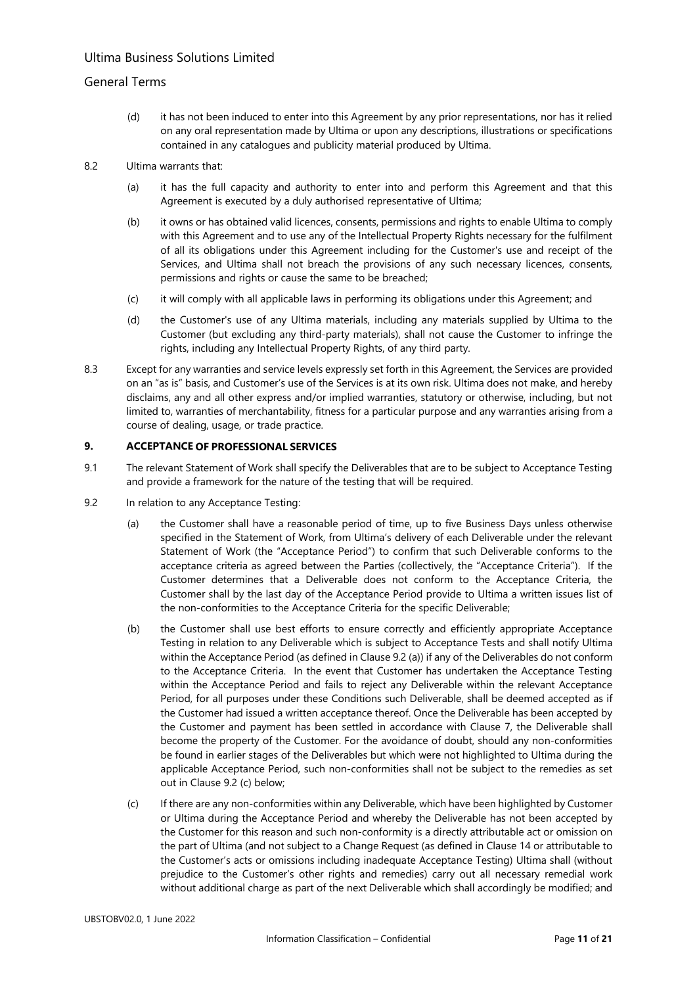## General Terms

- (d) it has not been induced to enter into this Agreement by any prior representations, nor has it relied on any oral representation made by Ultima or upon any descriptions, illustrations or specifications contained in any catalogues and publicity material produced by Ultima.
- 8.2 Ultima warrants that:
	- (a) it has the full capacity and authority to enter into and perform this Agreement and that this Agreement is executed by a duly authorised representative of Ultima;
	- (b) it owns or has obtained valid licences, consents, permissions and rights to enable Ultima to comply with this Agreement and to use any of the Intellectual Property Rights necessary for the fulfilment of all its obligations under this Agreement including for the Customer's use and receipt of the Services, and Ultima shall not breach the provisions of any such necessary licences, consents, permissions and rights or cause the same to be breached;
	- (c) it will comply with all applicable laws in performing its obligations under this Agreement; and
	- (d) the Customer's use of any Ultima materials, including any materials supplied by Ultima to the Customer (but excluding any third-party materials), shall not cause the Customer to infringe the rights, including any Intellectual Property Rights, of any third party.
- 8.3 Except for any warranties and service levels expressly set forth in this Agreement, the Services are provided on an "as is" basis, and Customer's use of the Services is at its own risk. Ultima does not make, and hereby disclaims, any and all other express and/or implied warranties, statutory or otherwise, including, but not limited to, warranties of merchantability, fitness for a particular purpose and any warranties arising from a course of dealing, usage, or trade practice.

### **9. ACCEPTANCE OF PROFESSIONAL SERVICES**

- 9.1 The relevant Statement of Work shall specify the Deliverables that are to be subject to Acceptance Testing and provide a framework for the nature of the testing that will be required.
- 9.2 In relation to any Acceptance Testing:
	- (a) the Customer shall have a reasonable period of time, up to five Business Days unless otherwise specified in the Statement of Work, from Ultima's delivery of each Deliverable under the relevant Statement of Work (the "Acceptance Period") to confirm that such Deliverable conforms to the acceptance criteria as agreed between the Parties (collectively, the "Acceptance Criteria"). If the Customer determines that a Deliverable does not conform to the Acceptance Criteria, the Customer shall by the last day of the Acceptance Period provide to Ultima a written issues list of the non-conformities to the Acceptance Criteria for the specific Deliverable;
	- (b) the Customer shall use best efforts to ensure correctly and efficiently appropriate Acceptance Testing in relation to any Deliverable which is subject to Acceptance Tests and shall notify Ultima within the Acceptance Period (as defined in Clause 9.2 (a)) if any of the Deliverables do not conform to the Acceptance Criteria. In the event that Customer has undertaken the Acceptance Testing within the Acceptance Period and fails to reject any Deliverable within the relevant Acceptance Period, for all purposes under these Conditions such Deliverable, shall be deemed accepted as if the Customer had issued a written acceptance thereof. Once the Deliverable has been accepted by the Customer and payment has been settled in accordance with Clause 7, the Deliverable shall become the property of the Customer. For the avoidance of doubt, should any non-conformities be found in earlier stages of the Deliverables but which were not highlighted to Ultima during the applicable Acceptance Period, such non-conformities shall not be subject to the remedies as set out in Clause 9.2 (c) below;
	- (c) If there are any non-conformities within any Deliverable, which have been highlighted by Customer or Ultima during the Acceptance Period and whereby the Deliverable has not been accepted by the Customer for this reason and such non-conformity is a directly attributable act or omission on the part of Ultima (and not subject to a Change Request (as defined in Clause 14 or attributable to the Customer's acts or omissions including inadequate Acceptance Testing) Ultima shall (without prejudice to the Customer's other rights and remedies) carry out all necessary remedial work without additional charge as part of the next Deliverable which shall accordingly be modified; and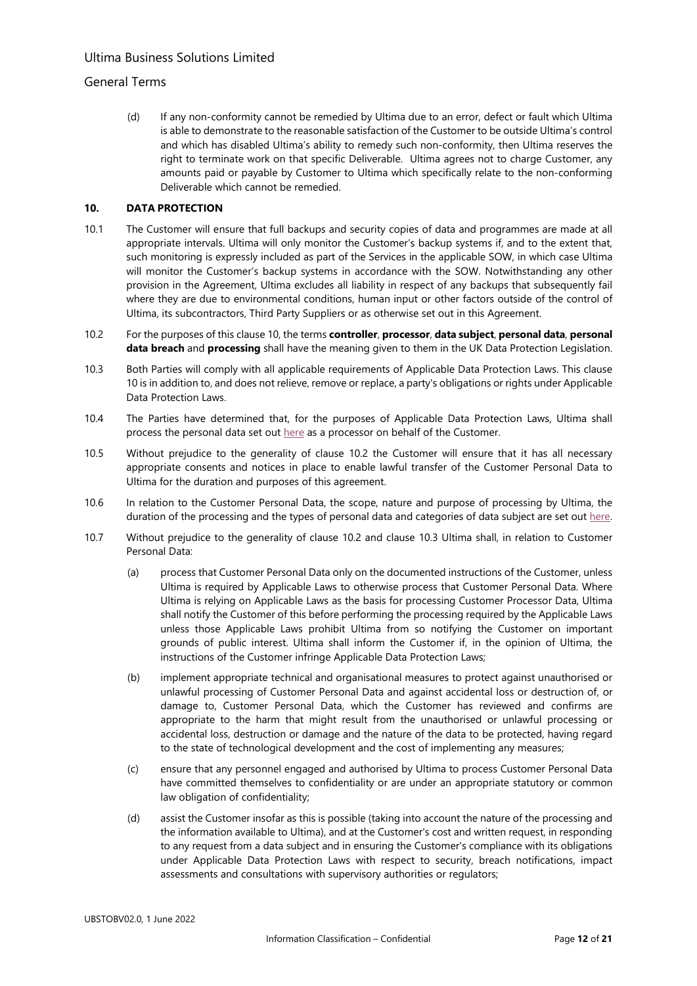## General Terms

(d) If any non-conformity cannot be remedied by Ultima due to an error, defect or fault which Ultima is able to demonstrate to the reasonable satisfaction of the Customer to be outside Ultima's control and which has disabled Ultima's ability to remedy such non-conformity, then Ultima reserves the right to terminate work on that specific Deliverable. Ultima agrees not to charge Customer, any amounts paid or payable by Customer to Ultima which specifically relate to the non-conforming Deliverable which cannot be remedied.

### <span id="page-11-1"></span>**10. DATA PROTECTION**

- 10.1 The Customer will ensure that full backups and security copies of data and programmes are made at all appropriate intervals. Ultima will only monitor the Customer's backup systems if, and to the extent that, such monitoring is expressly included as part of the Services in the applicable SOW, in which case Ultima will monitor the Customer's backup systems in accordance with the SOW. Notwithstanding any other provision in the Agreement, Ultima excludes all liability in respect of any backups that subsequently fail where they are due to environmental conditions, human input or other factors outside of the control of Ultima, its subcontractors, Third Party Suppliers or as otherwise set out in this Agreement.
- 10.2 For the purposes of this clause 10, the terms **controller**, **processor**, **data subject**, **personal data**, **personal data breach** and **processing** shall have the meaning given to them in the UK Data Protection Legislation.
- <span id="page-11-0"></span>10.3 Both Parties will comply with all applicable requirements of Applicable Data Protection Laws. This clause 10 is in addition to, and does not relieve, remove or replace, a party's obligations or rights under Applicable Data Protection Laws.
- 10.4 The Parties have determined that, for the purposes of Applicable Data Protection Laws, Ultima shall process the personal data set out [here](https://www.ultima.com/sites/default/files/uploads/2022-05/ultima_dp_link_v1.3.pdf) as a processor on behalf of the Customer.
- 10.5 Without prejudice to the generality of [clause 1](#page-11-0)0.2 the Customer will ensure that it has all necessary appropriate consents and notices in place to enable lawful transfer of the Customer Personal Data to Ultima for the duration and purposes of this agreement.
- 10.6 In relation to the Customer Personal Data, the scope, nature and purpose of processing by Ultima, the duration of the processing and the types of personal data and categories of data subject are set out here.
- 10.7 Without prejudice to the generality of clause 10.2 and clause [10.3](#page-11-0) Ultima shall, in relation to Customer Personal Data:
	- (a) process that Customer Personal Data only on the documented instructions of the Customer, unless Ultima is required by Applicable Laws to otherwise process that Customer Personal Data. Where Ultima is relying on Applicable Laws as the basis for processing Customer Processor Data, Ultima shall notify the Customer of this before performing the processing required by the Applicable Laws unless those Applicable Laws prohibit Ultima from so notifying the Customer on important grounds of public interest. Ultima shall inform the Customer if, in the opinion of Ultima, the instructions of the Customer infringe Applicable Data Protection Laws;
	- (b) implement appropriate technical and organisational measures to protect against unauthorised or unlawful processing of Customer Personal Data and against accidental loss or destruction of, or damage to, Customer Personal Data, which the Customer has reviewed and confirms are appropriate to the harm that might result from the unauthorised or unlawful processing or accidental loss, destruction or damage and the nature of the data to be protected, having regard to the state of technological development and the cost of implementing any measures;
	- (c) ensure that any personnel engaged and authorised by Ultima to process Customer Personal Data have committed themselves to confidentiality or are under an appropriate statutory or common law obligation of confidentiality;
	- (d) assist the Customer insofar as this is possible (taking into account the nature of the processing and the information available to Ultima), and at the Customer's cost and written request, in responding to any request from a data subject and in ensuring the Customer's compliance with its obligations under Applicable Data Protection Laws with respect to security, breach notifications, impact assessments and consultations with supervisory authorities or regulators;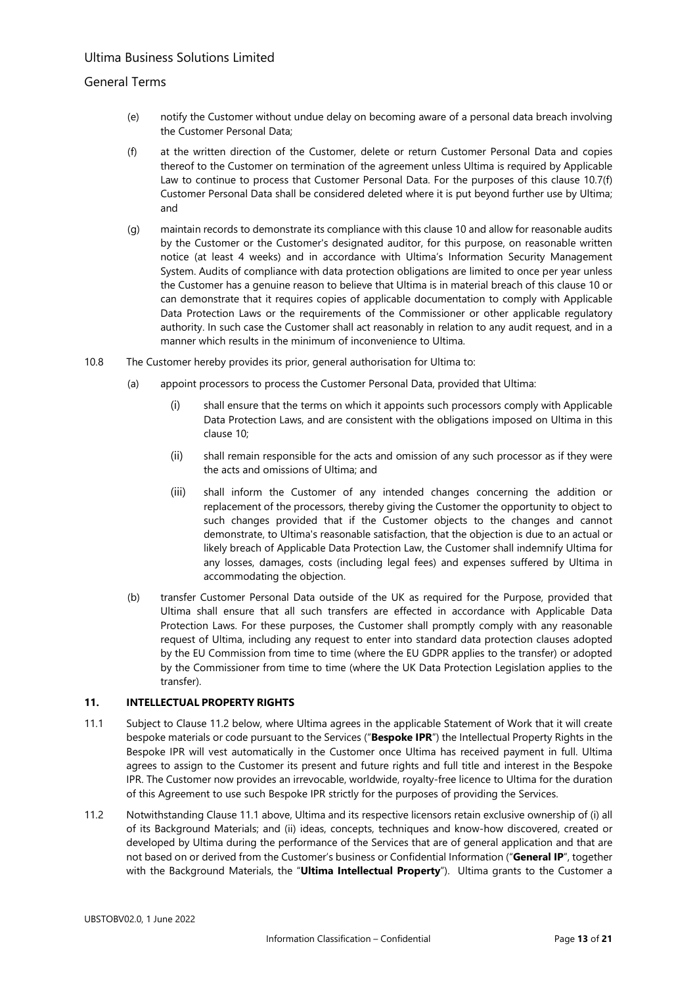## General Terms

- (e) notify the Customer without undue delay on becoming aware of a personal data breach involving the Customer Personal Data;
- <span id="page-12-0"></span>(f) at the written direction of the Customer, delete or return Customer Personal Data and copies thereof to the Customer on termination of the agreement unless Ultima is required by Applicable Law to continue to process that Customer Personal Data. For the purposes of this clause 10.[7\(f\)](#page-12-0) Customer Personal Data shall be considered deleted where it is put beyond further use by Ultima; and
- (g) maintain records to demonstrate its compliance with this clause [10](#page-11-1) and allow for reasonable audits by the Customer or the Customer's designated auditor, for this purpose, on reasonable written notice (at least 4 weeks) and in accordance with Ultima's Information Security Management System. Audits of compliance with data protection obligations are limited to once per year unless the Customer has a genuine reason to believe that Ultima is in material breach of this clause [10](#page-11-1) or can demonstrate that it requires copies of applicable documentation to comply with Applicable Data Protection Laws or the requirements of the Commissioner or other applicable regulatory authority. In such case the Customer shall act reasonably in relation to any audit request, and in a manner which results in the minimum of inconvenience to Ultima.
- 10.8 The Customer hereby provides its prior, general authorisation for Ultima to:
	- (a) appoint processors to process the Customer Personal Data, provided that Ultima:
		- (i) shall ensure that the terms on which it appoints such processors comply with Applicable Data Protection Laws, and are consistent with the obligations imposed on Ultima in this clause 10;
		- (ii) shall remain responsible for the acts and omission of any such processor as if they were the acts and omissions of Ultima; and
		- (iii) shall inform the Customer of any intended changes concerning the addition or replacement of the processors, thereby giving the Customer the opportunity to object to such changes provided that if the Customer objects to the changes and cannot demonstrate, to Ultima's reasonable satisfaction, that the objection is due to an actual or likely breach of Applicable Data Protection Law, the Customer shall indemnify Ultima for any losses, damages, costs (including legal fees) and expenses suffered by Ultima in accommodating the objection.
	- (b) transfer Customer Personal Data outside of the UK as required for the Purpose, provided that Ultima shall ensure that all such transfers are effected in accordance with Applicable Data Protection Laws. For these purposes, the Customer shall promptly comply with any reasonable request of Ultima, including any request to enter into standard data protection clauses adopted by the EU Commission from time to time (where the EU GDPR applies to the transfer) or adopted by the Commissioner from time to time (where the UK Data Protection Legislation applies to the transfer).

### **11. INTELLECTUAL PROPERTY RIGHTS**

- 11.1 Subject to Clause 11.2 below, where Ultima agrees in the applicable Statement of Work that it will create bespoke materials or code pursuant to the Services ("**Bespoke IPR**") the Intellectual Property Rights in the Bespoke IPR will vest automatically in the Customer once Ultima has received payment in full. Ultima agrees to assign to the Customer its present and future rights and full title and interest in the Bespoke IPR. The Customer now provides an irrevocable, worldwide, royalty-free licence to Ultima for the duration of this Agreement to use such Bespoke IPR strictly for the purposes of providing the Services.
- 11.2 Notwithstanding Clause 11.1 above, Ultima and its respective licensors retain exclusive ownership of (i) all of its Background Materials; and (ii) ideas, concepts, techniques and know-how discovered, created or developed by Ultima during the performance of the Services that are of general application and that are not based on or derived from the Customer's business or Confidential Information ("**General IP**", together with the Background Materials, the "**Ultima Intellectual Property**"). Ultima grants to the Customer a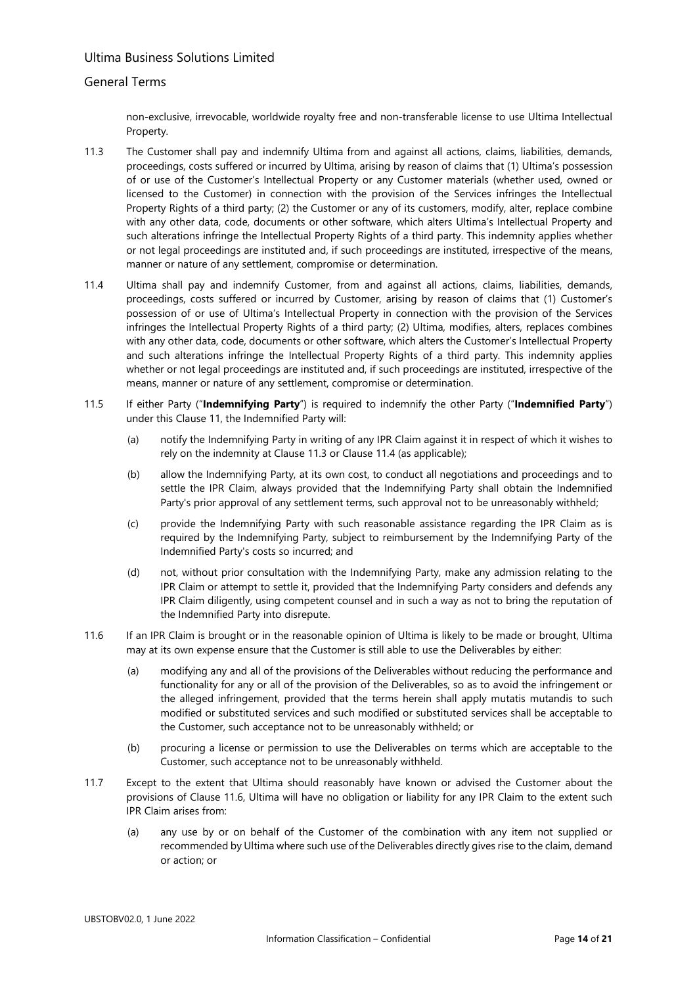## General Terms

non-exclusive, irrevocable, worldwide royalty free and non-transferable license to use Ultima Intellectual Property.

- 11.3 The Customer shall pay and indemnify Ultima from and against all actions, claims, liabilities, demands, proceedings, costs suffered or incurred by Ultima, arising by reason of claims that (1) Ultima's possession of or use of the Customer's Intellectual Property or any Customer materials (whether used, owned or licensed to the Customer) in connection with the provision of the Services infringes the Intellectual Property Rights of a third party; (2) the Customer or any of its customers, modify, alter, replace combine with any other data, code, documents or other software, which alters Ultima's Intellectual Property and such alterations infringe the Intellectual Property Rights of a third party. This indemnity applies whether or not legal proceedings are instituted and, if such proceedings are instituted, irrespective of the means, manner or nature of any settlement, compromise or determination.
- 11.4 Ultima shall pay and indemnify Customer, from and against all actions, claims, liabilities, demands, proceedings, costs suffered or incurred by Customer, arising by reason of claims that (1) Customer's possession of or use of Ultima's Intellectual Property in connection with the provision of the Services infringes the Intellectual Property Rights of a third party; (2) Ultima, modifies, alters, replaces combines with any other data, code, documents or other software, which alters the Customer's Intellectual Property and such alterations infringe the Intellectual Property Rights of a third party. This indemnity applies whether or not legal proceedings are instituted and, if such proceedings are instituted, irrespective of the means, manner or nature of any settlement, compromise or determination.
- 11.5 If either Party ("**Indemnifying Party**") is required to indemnify the other Party ("**Indemnified Party**") under this Clause 11, the Indemnified Party will:
	- (a) notify the Indemnifying Party in writing of any IPR Claim against it in respect of which it wishes to rely on the indemnity at Clause 11.3 or Clause 11.4 (as applicable);
	- (b) allow the Indemnifying Party, at its own cost, to conduct all negotiations and proceedings and to settle the IPR Claim, always provided that the Indemnifying Party shall obtain the Indemnified Party's prior approval of any settlement terms, such approval not to be unreasonably withheld;
	- (c) provide the Indemnifying Party with such reasonable assistance regarding the IPR Claim as is required by the Indemnifying Party, subject to reimbursement by the Indemnifying Party of the Indemnified Party's costs so incurred; and
	- (d) not, without prior consultation with the Indemnifying Party, make any admission relating to the IPR Claim or attempt to settle it, provided that the Indemnifying Party considers and defends any IPR Claim diligently, using competent counsel and in such a way as not to bring the reputation of the Indemnified Party into disrepute.
- 11.6 If an IPR Claim is brought or in the reasonable opinion of Ultima is likely to be made or brought, Ultima may at its own expense ensure that the Customer is still able to use the Deliverables by either:
	- (a) modifying any and all of the provisions of the Deliverables without reducing the performance and functionality for any or all of the provision of the Deliverables, so as to avoid the infringement or the alleged infringement, provided that the terms herein shall apply mutatis mutandis to such modified or substituted services and such modified or substituted services shall be acceptable to the Customer, such acceptance not to be unreasonably withheld; or
	- (b) procuring a license or permission to use the Deliverables on terms which are acceptable to the Customer, such acceptance not to be unreasonably withheld.
- 11.7 Except to the extent that Ultima should reasonably have known or advised the Customer about the provisions of Clause 11.6, Ultima will have no obligation or liability for any IPR Claim to the extent such IPR Claim arises from:
	- (a) any use by or on behalf of the Customer of the combination with any item not supplied or recommended by Ultima where such use of the Deliverables directly gives rise to the claim, demand or action; or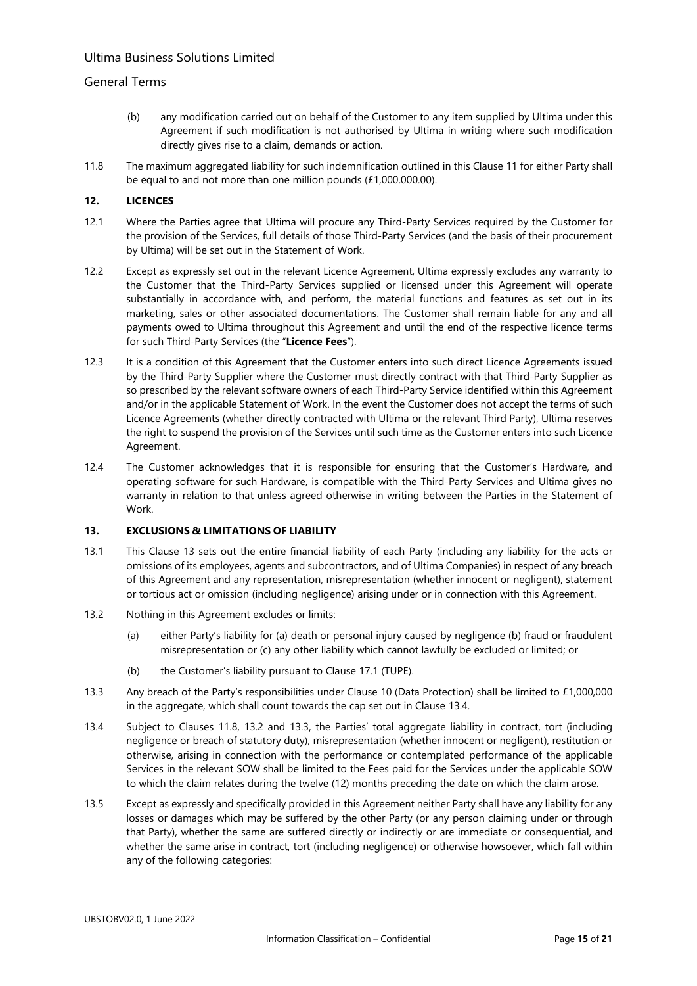## General Terms

- (b) any modification carried out on behalf of the Customer to any item supplied by Ultima under this Agreement if such modification is not authorised by Ultima in writing where such modification directly gives rise to a claim, demands or action.
- <span id="page-14-1"></span>11.8 The maximum aggregated liability for such indemnification outlined in this Clause 11 for either Party shall be equal to and not more than one million pounds (£1,000.000.00).

### **12. LICENCES**

- 12.1 Where the Parties agree that Ultima will procure any Third-Party Services required by the Customer for the provision of the Services, full details of those Third-Party Services (and the basis of their procurement by Ultima) will be set out in the Statement of Work.
- 12.2 Except as expressly set out in the relevant Licence Agreement, Ultima expressly excludes any warranty to the Customer that the Third-Party Services supplied or licensed under this Agreement will operate substantially in accordance with, and perform, the material functions and features as set out in its marketing, sales or other associated documentations. The Customer shall remain liable for any and all payments owed to Ultima throughout this Agreement and until the end of the respective licence terms for such Third-Party Services (the "**Licence Fees**").
- 12.3 It is a condition of this Agreement that the Customer enters into such direct Licence Agreements issued by the Third-Party Supplier where the Customer must directly contract with that Third-Party Supplier as so prescribed by the relevant software owners of each Third-Party Service identified within this Agreement and/or in the applicable Statement of Work. In the event the Customer does not accept the terms of such Licence Agreements (whether directly contracted with Ultima or the relevant Third Party), Ultima reserves the right to suspend the provision of the Services until such time as the Customer enters into such Licence Agreement.
- 12.4 The Customer acknowledges that it is responsible for ensuring that the Customer's Hardware, and operating software for such Hardware, is compatible with the Third-Party Services and Ultima gives no warranty in relation to that unless agreed otherwise in writing between the Parties in the Statement of Work.

### **13. EXCLUSIONS & LIMITATIONS OF LIABILITY**

- 13.1 This Clause 13 sets out the entire financial liability of each Party (including any liability for the acts or omissions of its employees, agents and subcontractors, and of Ultima Companies) in respect of any breach of this Agreement and any representation, misrepresentation (whether innocent or negligent), statement or tortious act or omission (including negligence) arising under or in connection with this Agreement.
- <span id="page-14-2"></span>13.2 Nothing in this Agreement excludes or limits:
	- (a) either Party's liability for (a) death or personal injury caused by negligence (b) fraud or fraudulent misrepresentation or (c) any other liability which cannot lawfully be excluded or limited; or
	- (b) the Customer's liability pursuant to Claus[e 17.1](#page-18-1) (TUPE).
- <span id="page-14-3"></span>13.3 Any breach of the Party's responsibilities under Clause 10 (Data Protection) shall be limited to £1,000,000 in the aggregate, which shall count towards the cap set out in Clause [13.4.](#page-14-0)
- <span id="page-14-0"></span>13.4 Subject to Clauses [11.8,](#page-14-1) [13.2](#page-14-2) and [13.3,](#page-14-3) the Parties' total aggregate liability in contract, tort (including negligence or breach of statutory duty), misrepresentation (whether innocent or negligent), restitution or otherwise, arising in connection with the performance or contemplated performance of the applicable Services in the relevant SOW shall be limited to the Fees paid for the Services under the applicable SOW to which the claim relates during the twelve (12) months preceding the date on which the claim arose.
- 13.5 Except as expressly and specifically provided in this Agreement neither Party shall have any liability for any losses or damages which may be suffered by the other Party (or any person claiming under or through that Party), whether the same are suffered directly or indirectly or are immediate or consequential, and whether the same arise in contract, tort (including negligence) or otherwise howsoever, which fall within any of the following categories: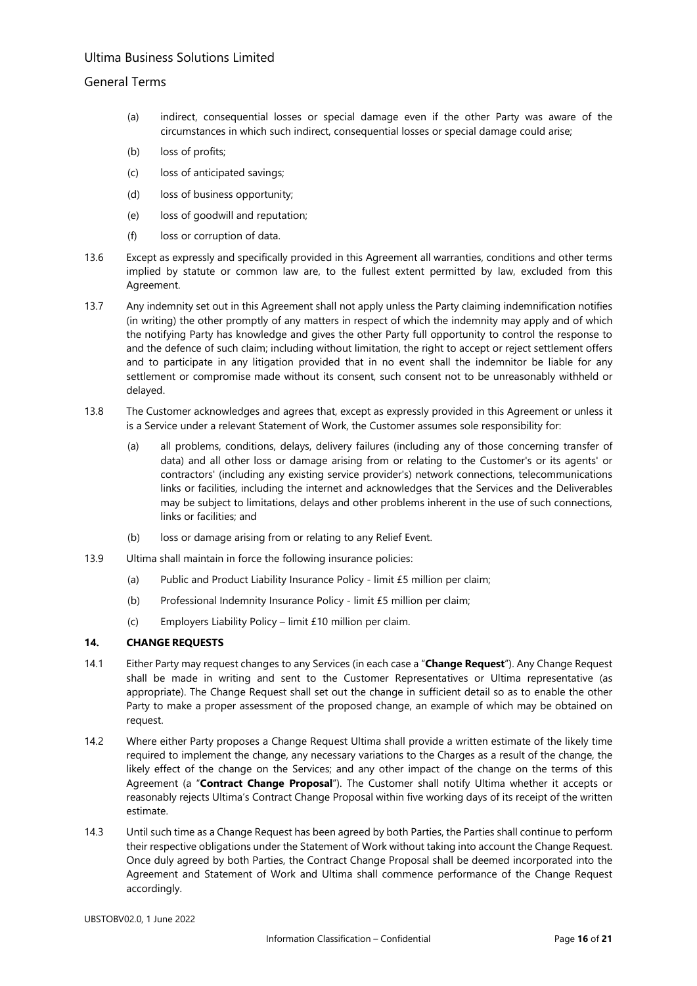## General Terms

- (a) indirect, consequential losses or special damage even if the other Party was aware of the circumstances in which such indirect, consequential losses or special damage could arise;
- (b) loss of profits;
- (c) loss of anticipated savings;
- (d) loss of business opportunity;
- (e) loss of goodwill and reputation;
- (f) loss or corruption of data.
- 13.6 Except as expressly and specifically provided in this Agreement all warranties, conditions and other terms implied by statute or common law are, to the fullest extent permitted by law, excluded from this Agreement.
- 13.7 Any indemnity set out in this Agreement shall not apply unless the Party claiming indemnification notifies (in writing) the other promptly of any matters in respect of which the indemnity may apply and of which the notifying Party has knowledge and gives the other Party full opportunity to control the response to and the defence of such claim; including without limitation, the right to accept or reject settlement offers and to participate in any litigation provided that in no event shall the indemnitor be liable for any settlement or compromise made without its consent, such consent not to be unreasonably withheld or delayed.
- 13.8 The Customer acknowledges and agrees that, except as expressly provided in this Agreement or unless it is a Service under a relevant Statement of Work, the Customer assumes sole responsibility for:
	- (a) all problems, conditions, delays, delivery failures (including any of those concerning transfer of data) and all other loss or damage arising from or relating to the Customer's or its agents' or contractors' (including any existing service provider's) network connections, telecommunications links or facilities, including the internet and acknowledges that the Services and the Deliverables may be subject to limitations, delays and other problems inherent in the use of such connections, links or facilities; and
	- (b) loss or damage arising from or relating to any Relief Event.
- 13.9 Ultima shall maintain in force the following insurance policies:
	- (a) Public and Product Liability Insurance Policy limit £5 million per claim;
	- (b) Professional Indemnity Insurance Policy limit £5 million per claim;
	- (c) Employers Liability Policy limit £10 million per claim.

### <span id="page-15-0"></span>**14. CHANGE REQUESTS**

- 14.1 Either Party may request changes to any Services (in each case a "**Change Request**"). Any Change Request shall be made in writing and sent to the Customer Representatives or Ultima representative (as appropriate). The Change Request shall set out the change in sufficient detail so as to enable the other Party to make a proper assessment of the proposed change, an example of which may be obtained on request.
- 14.2 Where either Party proposes a Change Request Ultima shall provide a written estimate of the likely time required to implement the change, any necessary variations to the Charges as a result of the change, the likely effect of the change on the Services; and any other impact of the change on the terms of this Agreement (a "**Contract Change Proposal**"). The Customer shall notify Ultima whether it accepts or reasonably rejects Ultima's Contract Change Proposal within five working days of its receipt of the written estimate.
- 14.3 Until such time as a Change Request has been agreed by both Parties, the Parties shall continue to perform their respective obligations under the Statement of Work without taking into account the Change Request. Once duly agreed by both Parties, the Contract Change Proposal shall be deemed incorporated into the Agreement and Statement of Work and Ultima shall commence performance of the Change Request accordingly.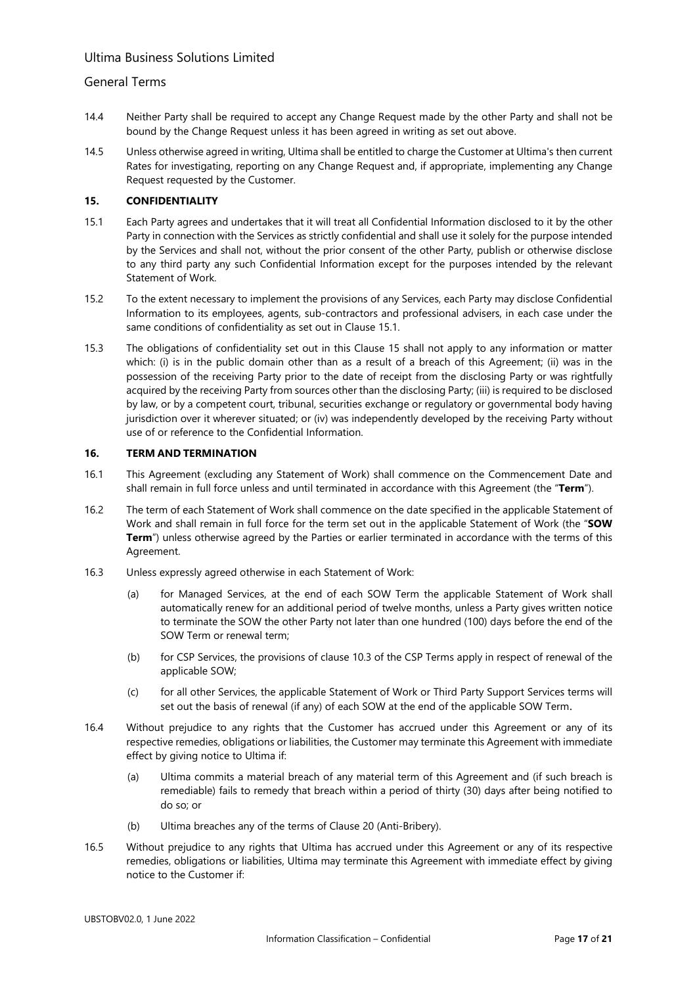### General Terms

- 14.4 Neither Party shall be required to accept any Change Request made by the other Party and shall not be bound by the Change Request unless it has been agreed in writing as set out above.
- 14.5 Unless otherwise agreed in writing, Ultima shall be entitled to charge the Customer at Ultima's then current Rates for investigating, reporting on any Change Request and, if appropriate, implementing any Change Request requested by the Customer.

### **15. CONFIDENTIALITY**

- 15.1 Each Party agrees and undertakes that it will treat all Confidential Information disclosed to it by the other Party in connection with the Services as strictly confidential and shall use it solely for the purpose intended by the Services and shall not, without the prior consent of the other Party, publish or otherwise disclose to any third party any such Confidential Information except for the purposes intended by the relevant Statement of Work.
- 15.2 To the extent necessary to implement the provisions of any Services, each Party may disclose Confidential Information to its employees, agents, sub-contractors and professional advisers, in each case under the same conditions of confidentiality as set out in Clause 15.1.
- 15.3 The obligations of confidentiality set out in this Clause 15 shall not apply to any information or matter which: (i) is in the public domain other than as a result of a breach of this Agreement; (ii) was in the possession of the receiving Party prior to the date of receipt from the disclosing Party or was rightfully acquired by the receiving Party from sources other than the disclosing Party; (iii) is required to be disclosed by law, or by a competent court, tribunal, securities exchange or regulatory or governmental body having jurisdiction over it wherever situated; or (iv) was independently developed by the receiving Party without use of or reference to the Confidential Information.

### **16. TERM AND TERMINATION**

- <span id="page-16-0"></span>16.1 This Agreement (excluding any Statement of Work) shall commence on the Commencement Date and shall remain in full force unless and until terminated in accordance with this Agreement (the "**Term**").
- <span id="page-16-1"></span>16.2 The term of each Statement of Work shall commence on the date specified in the applicable Statement of Work and shall remain in full force for the term set out in the applicable Statement of Work (the "**SOW Term**") unless otherwise agreed by the Parties or earlier terminated in accordance with the terms of this Agreement.
- 16.3 Unless expressly agreed otherwise in each Statement of Work:
	- (a) for Managed Services, at the end of each SOW Term the applicable Statement of Work shall automatically renew for an additional period of twelve months, unless a Party gives written notice to terminate the SOW the other Party not later than one hundred (100) days before the end of the SOW Term or renewal term;
	- (b) for CSP Services, the provisions of clause 10.3 of the CSP Terms apply in respect of renewal of the applicable SOW;
	- (c) for all other Services, the applicable Statement of Work or Third Party Support Services terms will set out the basis of renewal (if any) of each SOW at the end of the applicable SOW Term.
- 16.4 Without prejudice to any rights that the Customer has accrued under this Agreement or any of its respective remedies, obligations or liabilities, the Customer may terminate this Agreement with immediate effect by giving notice to Ultima if:
	- (a) Ultima commits a material breach of any material term of this Agreement and (if such breach is remediable) fails to remedy that breach within a period of thirty (30) days after being notified to do so; or
	- (b) Ultima breaches any of the terms of Clause 20 (Anti-Bribery).
- <span id="page-16-2"></span>16.5 Without prejudice to any rights that Ultima has accrued under this Agreement or any of its respective remedies, obligations or liabilities, Ultima may terminate this Agreement with immediate effect by giving notice to the Customer if: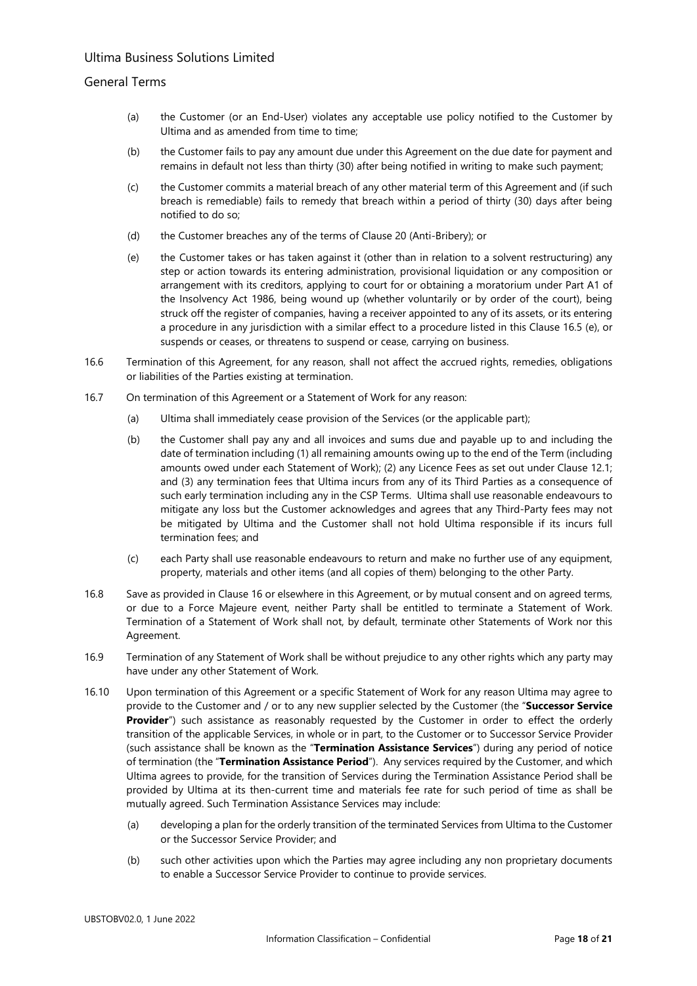### General Terms

- (a) the Customer (or an End-User) violates any acceptable use policy notified to the Customer by Ultima and as amended from time to time;
- (b) the Customer fails to pay any amount due under this Agreement on the due date for payment and remains in default not less than thirty (30) after being notified in writing to make such payment;
- (c) the Customer commits a material breach of any other material term of this Agreement and (if such breach is remediable) fails to remedy that breach within a period of thirty (30) days after being notified to do so;
- (d) the Customer breaches any of the terms of Clause 20 (Anti-Bribery); or
- <span id="page-17-0"></span>(e) the Customer takes or has taken against it (other than in relation to a solvent restructuring) any step or action towards its entering administration, provisional liquidation or any composition or arrangement with its creditors, applying to court for or obtaining a moratorium under Part A1 of the Insolvency Act 1986, being wound up (whether voluntarily or by order of the court), being struck off the register of companies, having a receiver appointed to any of its assets, or its entering a procedure in any jurisdiction with a similar effect to a procedure listed in this Clause [16.5](#page-16-2) [\(e\),](#page-17-0) or suspends or ceases, or threatens to suspend or cease, carrying on business.
- 16.6 Termination of this Agreement, for any reason, shall not affect the accrued rights, remedies, obligations or liabilities of the Parties existing at termination.
- 16.7 On termination of this Agreement or a Statement of Work for any reason:
	- (a) Ultima shall immediately cease provision of the Services (or the applicable part);
	- (b) the Customer shall pay any and all invoices and sums due and payable up to and including the date of termination including (1) all remaining amounts owing up to the end of the Term (including amounts owed under each Statement of Work); (2) any Licence Fees as set out under Clause 12.1; and (3) any termination fees that Ultima incurs from any of its Third Parties as a consequence of such early termination including any in the CSP Terms. Ultima shall use reasonable endeavours to mitigate any loss but the Customer acknowledges and agrees that any Third-Party fees may not be mitigated by Ultima and the Customer shall not hold Ultima responsible if its incurs full termination fees; and
	- (c) each Party shall use reasonable endeavours to return and make no further use of any equipment, property, materials and other items (and all copies of them) belonging to the other Party.
- 16.8 Save as provided in Clause 16 or elsewhere in this Agreement, or by mutual consent and on agreed terms, or due to a Force Majeure event, neither Party shall be entitled to terminate a Statement of Work. Termination of a Statement of Work shall not, by default, terminate other Statements of Work nor this Agreement.
- 16.9 Termination of any Statement of Work shall be without prejudice to any other rights which any party may have under any other Statement of Work.
- 16.10 Upon termination of this Agreement or a specific Statement of Work for any reason Ultima may agree to provide to the Customer and / or to any new supplier selected by the Customer (the "**Successor Service Provider**") such assistance as reasonably requested by the Customer in order to effect the orderly transition of the applicable Services, in whole or in part, to the Customer or to Successor Service Provider (such assistance shall be known as the "**Termination Assistance Services**") during any period of notice of termination (the "**Termination Assistance Period**"). Any services required by the Customer, and which Ultima agrees to provide, for the transition of Services during the Termination Assistance Period shall be provided by Ultima at its then-current time and materials fee rate for such period of time as shall be mutually agreed. Such Termination Assistance Services may include:
	- (a) developing a plan for the orderly transition of the terminated Services from Ultima to the Customer or the Successor Service Provider; and
	- (b) such other activities upon which the Parties may agree including any non proprietary documents to enable a Successor Service Provider to continue to provide services.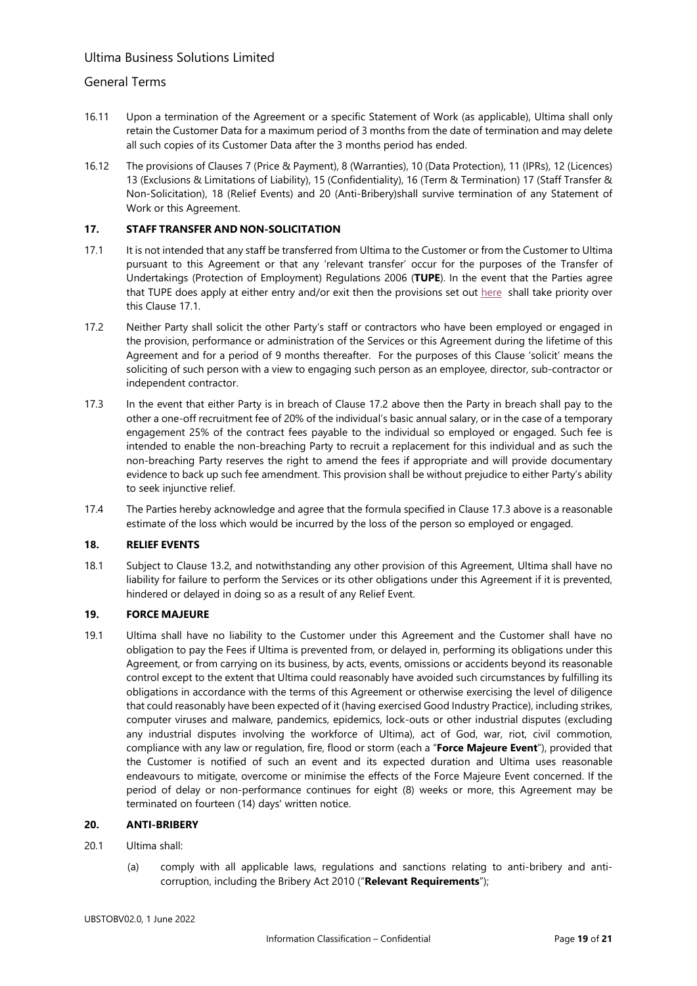## General Terms

- 16.11 Upon a termination of the Agreement or a specific Statement of Work (as applicable), Ultima shall only retain the Customer Data for a maximum period of 3 months from the date of termination and may delete all such copies of its Customer Data after the 3 months period has ended.
- 16.12 The provisions of Clauses 7 (Price & Payment), 8 (Warranties), 10 (Data Protection), 11 (IPRs), 12 (Licences) 13 (Exclusions & Limitations of Liability), 15 (Confidentiality), 16 (Term & Termination) 17 (Staff Transfer & Non-Solicitation), 18 (Relief Events) and 20 (Anti-Bribery)shall survive termination of any Statement of Work or this Agreement.

### **17. STAFF TRANSFER AND NON-SOLICITATION**

- <span id="page-18-1"></span>17.1 It is not intended that any staff be transferred from Ultima to the Customer or from the Customer to Ultima pursuant to this Agreement or that any 'relevant transfer' occur for the purposes of the Transfer of Undertakings (Protection of Employment) Regulations 2006 (**TUPE**). In the event that the Parties agree that TUPE does apply at either entry and/or exit then the provisions set out here shall take priority over this Clause 17.1.
- 17.2 Neither Party shall solicit the other Party's staff or contractors who have been employed or engaged in the provision, performance or administration of the Services or this Agreement during the lifetime of this Agreement and for a period of 9 months thereafter. For the purposes of this Clause 'solicit' means the soliciting of such person with a view to engaging such person as an employee, director, sub-contractor or independent contractor.
- 17.3 In the event that either Party is in breach of Clause 17.2 above then the Party in breach shall pay to the other a one-off recruitment fee of 20% of the individual's basic annual salary, or in the case of a temporary engagement 25% of the contract fees payable to the individual so employed or engaged. Such fee is intended to enable the non-breaching Party to recruit a replacement for this individual and as such the non-breaching Party reserves the right to amend the fees if appropriate and will provide documentary evidence to back up such fee amendment. This provision shall be without prejudice to either Party's ability to seek injunctive relief.
- 17.4 The Parties hereby acknowledge and agree that the formula specified in Clause 17.3 above is a reasonable estimate of the loss which would be incurred by the loss of the person so employed or engaged.

### **18. RELIEF EVENTS**

18.1 Subject to Clause 13.2, and notwithstanding any other provision of this Agreement, Ultima shall have no liability for failure to perform the Services or its other obligations under this Agreement if it is prevented, hindered or delayed in doing so as a result of any Relief Event.

### **19. FORCE MAJEURE**

<span id="page-18-0"></span>19.1 Ultima shall have no liability to the Customer under this Agreement and the Customer shall have no obligation to pay the Fees if Ultima is prevented from, or delayed in, performing its obligations under this Agreement, or from carrying on its business, by acts, events, omissions or accidents beyond its reasonable control except to the extent that Ultima could reasonably have avoided such circumstances by fulfilling its obligations in accordance with the terms of this Agreement or otherwise exercising the level of diligence that could reasonably have been expected of it (having exercised Good Industry Practice), including strikes, computer viruses and malware, pandemics, epidemics, lock-outs or other industrial disputes (excluding any industrial disputes involving the workforce of Ultima), act of God, war, riot, civil commotion, compliance with any law or regulation, fire, flood or storm (each a "**Force Majeure Event**"), provided that the Customer is notified of such an event and its expected duration and Ultima uses reasonable endeavours to mitigate, overcome or minimise the effects of the Force Majeure Event concerned. If the period of delay or non-performance continues for eight (8) weeks or more, this Agreement may be terminated on fourteen (14) days' written notice.

## **20. ANTI-BRIBERY**

### 20.1 Ultima shall:

(a) comply with all applicable laws, regulations and sanctions relating to anti-bribery and anticorruption, including the Bribery Act 2010 ("**Relevant Requirements**");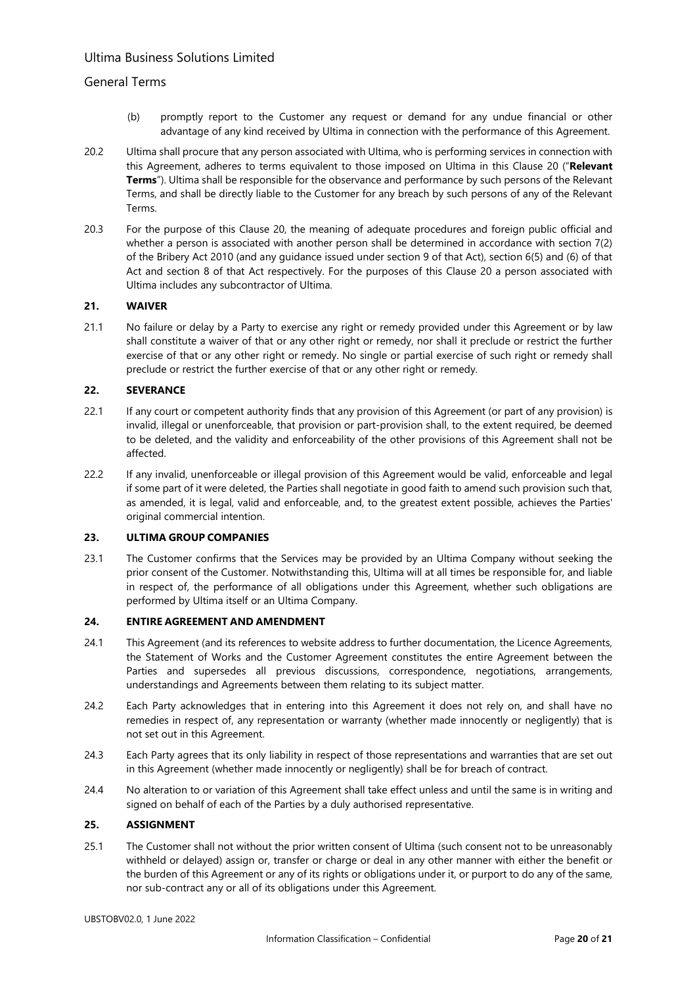## General Terms

- (b) promptly report to the Customer any request or demand for any undue financial or other advantage of any kind received by Ultima in connection with the performance of this Agreement.
- 20.2 Ultima shall procure that any person associated with Ultima, who is performing services in connection with this Agreement, adheres to terms equivalent to those imposed on Ultima in this Clause 20 ("**Relevant Terms**"). Ultima shall be responsible for the observance and performance by such persons of the Relevant Terms, and shall be directly liable to the Customer for any breach by such persons of any of the Relevant Terms.
- 20.3 For the purpose of this Clause 20, the meaning of adequate procedures and foreign public official and whether a person is associated with another person shall be determined in accordance with section 7(2) of the Bribery Act 2010 (and any guidance issued under section 9 of that Act), section 6(5) and (6) of that Act and section 8 of that Act respectively. For the purposes of this Clause 20 a person associated with Ultima includes any subcontractor of Ultima.

### **21. WAIVER**

21.1 No failure or delay by a Party to exercise any right or remedy provided under this Agreement or by law shall constitute a waiver of that or any other right or remedy, nor shall it preclude or restrict the further exercise of that or any other right or remedy. No single or partial exercise of such right or remedy shall preclude or restrict the further exercise of that or any other right or remedy.

### **22. SEVERANCE**

- 22.1 If any court or competent authority finds that any provision of this Agreement (or part of any provision) is invalid, illegal or unenforceable, that provision or part-provision shall, to the extent required, be deemed to be deleted, and the validity and enforceability of the other provisions of this Agreement shall not be affected.
- 22.2 If any invalid, unenforceable or illegal provision of this Agreement would be valid, enforceable and legal if some part of it were deleted, the Parties shall negotiate in good faith to amend such provision such that, as amended, it is legal, valid and enforceable, and, to the greatest extent possible, achieves the Parties' original commercial intention.

#### **23. ULTIMA GROUP COMPANIES**

<span id="page-19-0"></span>23.1 The Customer confirms that the Services may be provided by an Ultima Company without seeking the prior consent of the Customer. Notwithstanding this, Ultima will at all times be responsible for, and liable in respect of, the performance of all obligations under this Agreement, whether such obligations are performed by Ultima itself or an Ultima Company.

### **24. ENTIRE AGREEMENT AND AMENDMENT**

- 24.1 This Agreement (and its references to website address to further documentation, the Licence Agreements, the Statement of Works and the Customer Agreement constitutes the entire Agreement between the Parties and supersedes all previous discussions, correspondence, negotiations, arrangements, understandings and Agreements between them relating to its subject matter.
- 24.2 Each Party acknowledges that in entering into this Agreement it does not rely on, and shall have no remedies in respect of, any representation or warranty (whether made innocently or negligently) that is not set out in this Agreement.
- 24.3 Each Party agrees that its only liability in respect of those representations and warranties that are set out in this Agreement (whether made innocently or negligently) shall be for breach of contract.
- 24.4 No alteration to or variation of this Agreement shall take effect unless and until the same is in writing and signed on behalf of each of the Parties by a duly authorised representative.

#### **25. ASSIGNMENT**

25.1 The Customer shall not without the prior written consent of Ultima (such consent not to be unreasonably withheld or delayed) assign or, transfer or charge or deal in any other manner with either the benefit or the burden of this Agreement or any of its rights or obligations under it, or purport to do any of the same, nor sub-contract any or all of its obligations under this Agreement.